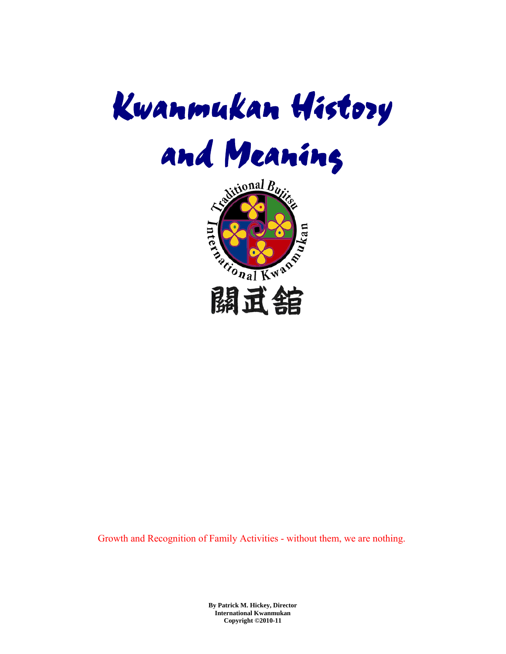



Growth and Recognition of Family Activities - without them, we are nothing.

**By Patrick M. Hickey, Director International Kwanmukan Copyright ©2010-11**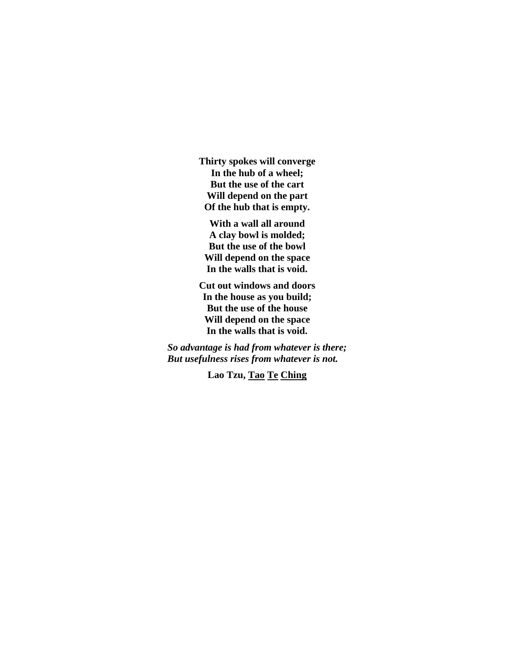**Thirty spokes will converge In the hub of a wheel; But the use of the cart Will depend on the part Of the hub that is empty.** 

**With a wall all around A clay bowl is molded; But the use of the bowl Will depend on the space In the walls that is void.** 

**Cut out windows and doors In the house as you build; But the use of the house Will depend on the space In the walls that is void.** 

*So advantage is had from whatever is there; But usefulness rises from whatever is not.* 

**Lao Tzu, Tao Te Ching**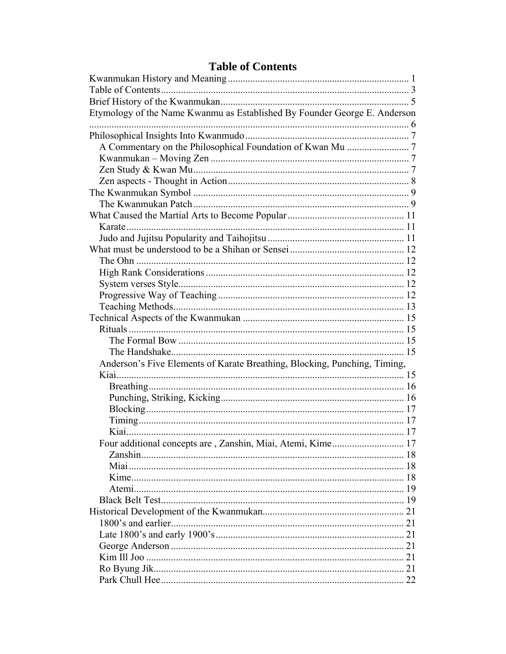# **Table of Contents**

| Etymology of the Name Kwanmu as Established By Founder George E. Anderson |    |
|---------------------------------------------------------------------------|----|
|                                                                           |    |
|                                                                           |    |
|                                                                           |    |
|                                                                           |    |
|                                                                           |    |
|                                                                           |    |
|                                                                           |    |
|                                                                           |    |
|                                                                           |    |
| Karate                                                                    |    |
|                                                                           |    |
|                                                                           |    |
|                                                                           |    |
|                                                                           |    |
|                                                                           |    |
|                                                                           |    |
|                                                                           |    |
|                                                                           |    |
|                                                                           |    |
|                                                                           |    |
|                                                                           |    |
| Anderson's Five Elements of Karate Breathing, Blocking, Punching, Timing, |    |
|                                                                           |    |
|                                                                           |    |
|                                                                           |    |
|                                                                           |    |
|                                                                           |    |
|                                                                           |    |
| Four additional concepts are, Zanshin, Miai, Atemi, Kime<br>. 17          |    |
|                                                                           |    |
|                                                                           |    |
|                                                                           |    |
|                                                                           |    |
|                                                                           |    |
|                                                                           | 21 |
|                                                                           |    |
|                                                                           |    |
|                                                                           |    |
|                                                                           |    |
|                                                                           |    |
|                                                                           | 22 |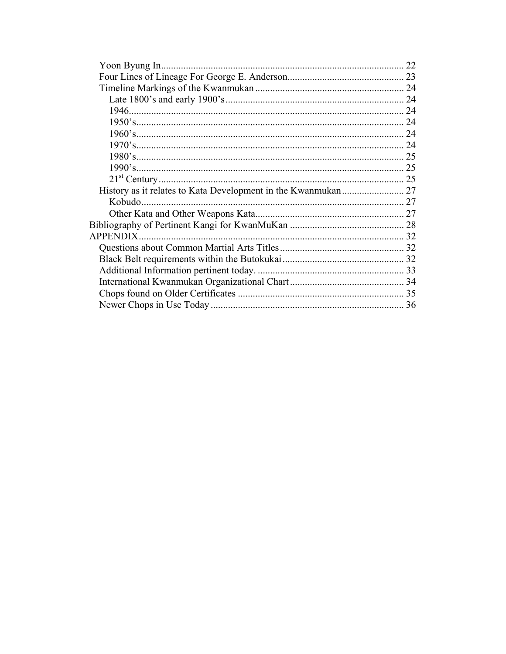|                 | 22 |
|-----------------|----|
|                 |    |
|                 |    |
|                 |    |
|                 | 24 |
|                 |    |
|                 |    |
|                 |    |
|                 |    |
|                 |    |
|                 |    |
|                 |    |
|                 |    |
|                 |    |
|                 |    |
| <b>APPENDIX</b> |    |
|                 |    |
|                 |    |
|                 |    |
|                 |    |
|                 |    |
|                 |    |
|                 |    |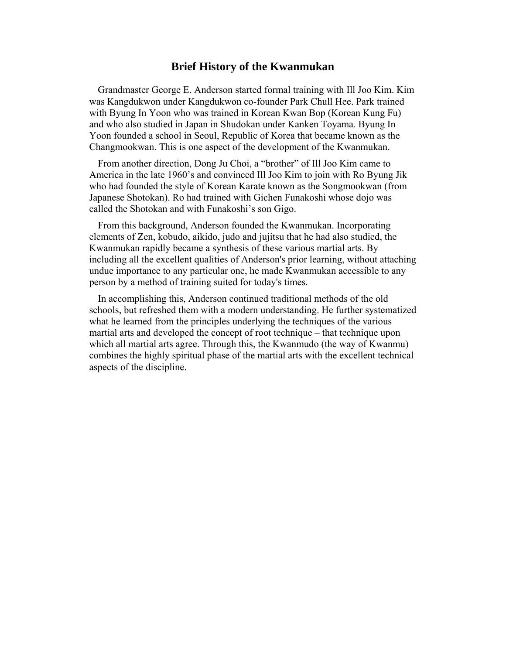## **Brief History of the Kwanmukan**

Grandmaster George E. Anderson started formal training with Ill Joo Kim. Kim was Kangdukwon under Kangdukwon co-founder Park Chull Hee. Park trained with Byung In Yoon who was trained in Korean Kwan Bop (Korean Kung Fu) and who also studied in Japan in Shudokan under Kanken Toyama. Byung In Yoon founded a school in Seoul, Republic of Korea that became known as the Changmookwan. This is one aspect of the development of the Kwanmukan.

From another direction, Dong Ju Choi, a "brother" of Ill Joo Kim came to America in the late 1960's and convinced Ill Joo Kim to join with Ro Byung Jik who had founded the style of Korean Karate known as the Songmookwan (from Japanese Shotokan). Ro had trained with Gichen Funakoshi whose dojo was called the Shotokan and with Funakoshi's son Gigo.

From this background, Anderson founded the Kwanmukan. Incorporating elements of Zen, kobudo, aikido, judo and jujitsu that he had also studied, the Kwanmukan rapidly became a synthesis of these various martial arts. By including all the excellent qualities of Anderson's prior learning, without attaching undue importance to any particular one, he made Kwanmukan accessible to any person by a method of training suited for today's times.

In accomplishing this, Anderson continued traditional methods of the old schools, but refreshed them with a modern understanding. He further systematized what he learned from the principles underlying the techniques of the various martial arts and developed the concept of root technique – that technique upon which all martial arts agree. Through this, the Kwanmudo (the way of Kwanmu) combines the highly spiritual phase of the martial arts with the excellent technical aspects of the discipline.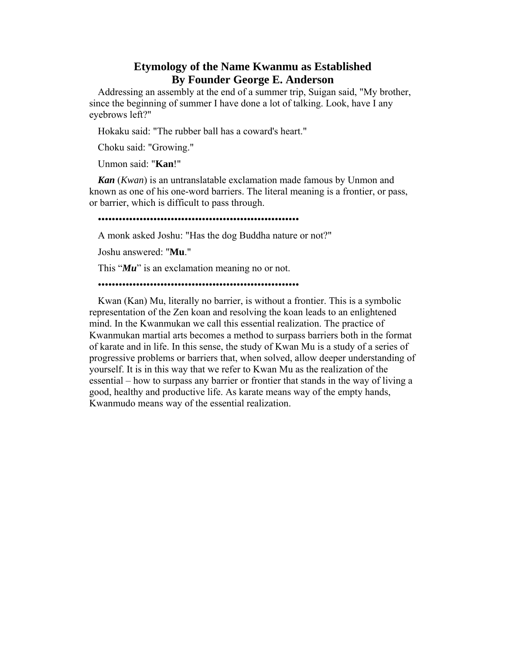# **Etymology of the Name Kwanmu as Established By Founder George E. Anderson**

Addressing an assembly at the end of a summer trip, Suigan said, "My brother, since the beginning of summer I have done a lot of talking. Look, have I any eyebrows left?"

Hokaku said: "The rubber ball has a coward's heart."

Choku said: "Growing."

Unmon said: "**Kan**!"

*Kan* (*Kwan*) is an untranslatable exclamation made famous by Unmon and known as one of his one-word barriers. The literal meaning is a frontier, or pass, or barrier, which is difficult to pass through.

## ••••••••••••••••••••••••••••••••••••••••••••••••••••••••••

A monk asked Joshu: "Has the dog Buddha nature or not?"

Joshu answered: "**Mu**."

This "*Mu*" is an exclamation meaning no or not.

#### ••••••••••••••••••••••••••••••••••••••••••••••••••••••••••

Kwan (Kan) Mu, literally no barrier, is without a frontier. This is a symbolic representation of the Zen koan and resolving the koan leads to an enlightened mind. In the Kwanmukan we call this essential realization. The practice of Kwanmukan martial arts becomes a method to surpass barriers both in the format of karate and in life. In this sense, the study of Kwan Mu is a study of a series of progressive problems or barriers that, when solved, allow deeper understanding of yourself. It is in this way that we refer to Kwan Mu as the realization of the essential – how to surpass any barrier or frontier that stands in the way of living a good, healthy and productive life. As karate means way of the empty hands, Kwanmudo means way of the essential realization.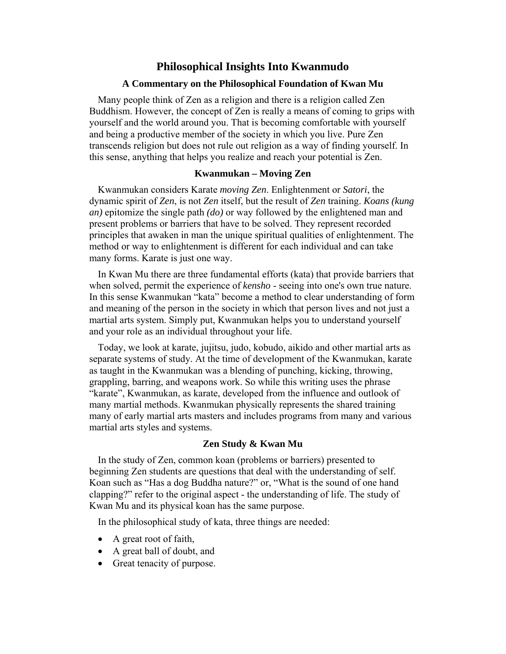# **Philosophical Insights Into Kwanmudo**

#### **A Commentary on the Philosophical Foundation of Kwan Mu**

Many people think of Zen as a religion and there is a religion called Zen Buddhism. However, the concept of Zen is really a means of coming to grips with yourself and the world around you. That is becoming comfortable with yourself and being a productive member of the society in which you live. Pure Zen transcends religion but does not rule out religion as a way of finding yourself. In this sense, anything that helps you realize and reach your potential is Zen.

#### **Kwanmukan – Moving Zen**

Kwanmukan considers Karate *moving Zen*. Enlightenment or *Satori*, the dynamic spirit of *Zen*, is not *Zen* itself, but the result of *Zen* training. *Koans (kung an)* epitomize the single path *(do)* or way followed by the enlightened man and present problems or barriers that have to be solved. They represent recorded principles that awaken in man the unique spiritual qualities of enlightenment. The method or way to enlightenment is different for each individual and can take many forms. Karate is just one way.

In Kwan Mu there are three fundamental efforts (kata) that provide barriers that when solved, permit the experience of *kensho* - seeing into one's own true nature. In this sense Kwanmukan "kata" become a method to clear understanding of form and meaning of the person in the society in which that person lives and not just a martial arts system. Simply put, Kwanmukan helps you to understand yourself and your role as an individual throughout your life.

Today, we look at karate, jujitsu, judo, kobudo, aikido and other martial arts as separate systems of study. At the time of development of the Kwanmukan, karate as taught in the Kwanmukan was a blending of punching, kicking, throwing, grappling, barring, and weapons work. So while this writing uses the phrase "karate", Kwanmukan, as karate, developed from the influence and outlook of many martial methods. Kwanmukan physically represents the shared training many of early martial arts masters and includes programs from many and various martial arts styles and systems.

#### **Zen Study & Kwan Mu**

In the study of Zen, common koan (problems or barriers) presented to beginning Zen students are questions that deal with the understanding of self. Koan such as "Has a dog Buddha nature?" or, "What is the sound of one hand clapping?" refer to the original aspect - the understanding of life. The study of Kwan Mu and its physical koan has the same purpose.

In the philosophical study of kata, three things are needed:

- A great root of faith,
- A great ball of doubt, and
- Great tenacity of purpose.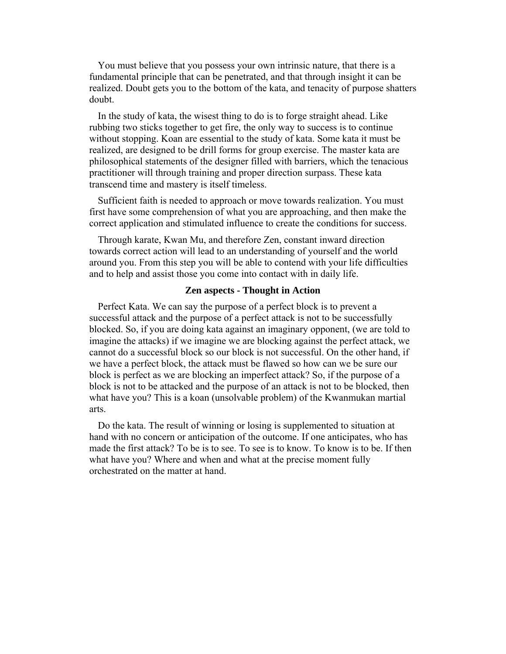You must believe that you possess your own intrinsic nature, that there is a fundamental principle that can be penetrated, and that through insight it can be realized. Doubt gets you to the bottom of the kata, and tenacity of purpose shatters doubt.

In the study of kata, the wisest thing to do is to forge straight ahead. Like rubbing two sticks together to get fire, the only way to success is to continue without stopping. Koan are essential to the study of kata. Some kata it must be realized, are designed to be drill forms for group exercise. The master kata are philosophical statements of the designer filled with barriers, which the tenacious practitioner will through training and proper direction surpass. These kata transcend time and mastery is itself timeless.

Sufficient faith is needed to approach or move towards realization. You must first have some comprehension of what you are approaching, and then make the correct application and stimulated influence to create the conditions for success.

Through karate, Kwan Mu, and therefore Zen, constant inward direction towards correct action will lead to an understanding of yourself and the world around you. From this step you will be able to contend with your life difficulties and to help and assist those you come into contact with in daily life.

## **Zen aspects - Thought in Action**

Perfect Kata. We can say the purpose of a perfect block is to prevent a successful attack and the purpose of a perfect attack is not to be successfully blocked. So, if you are doing kata against an imaginary opponent, (we are told to imagine the attacks) if we imagine we are blocking against the perfect attack, we cannot do a successful block so our block is not successful. On the other hand, if we have a perfect block, the attack must be flawed so how can we be sure our block is perfect as we are blocking an imperfect attack? So, if the purpose of a block is not to be attacked and the purpose of an attack is not to be blocked, then what have you? This is a koan (unsolvable problem) of the Kwanmukan martial arts.

Do the kata. The result of winning or losing is supplemented to situation at hand with no concern or anticipation of the outcome. If one anticipates, who has made the first attack? To be is to see. To see is to know. To know is to be. If then what have you? Where and when and what at the precise moment fully orchestrated on the matter at hand.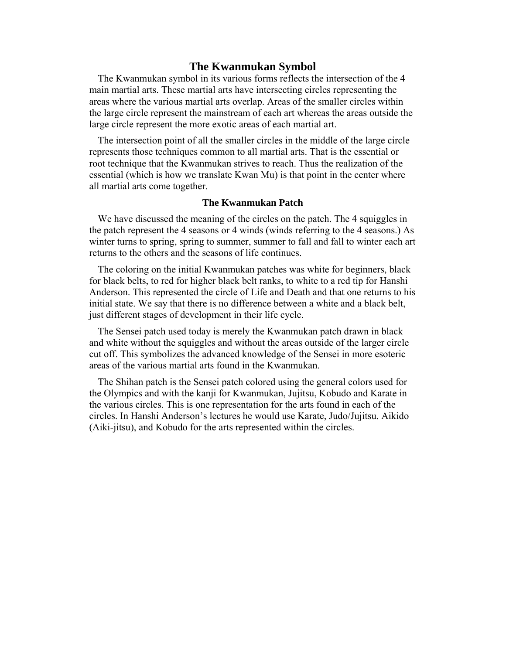## **The Kwanmukan Symbol**

The Kwanmukan symbol in its various forms reflects the intersection of the 4 main martial arts. These martial arts have intersecting circles representing the areas where the various martial arts overlap. Areas of the smaller circles within the large circle represent the mainstream of each art whereas the areas outside the large circle represent the more exotic areas of each martial art.

The intersection point of all the smaller circles in the middle of the large circle represents those techniques common to all martial arts. That is the essential or root technique that the Kwanmukan strives to reach. Thus the realization of the essential (which is how we translate Kwan Mu) is that point in the center where all martial arts come together.

#### **The Kwanmukan Patch**

We have discussed the meaning of the circles on the patch. The 4 squiggles in the patch represent the 4 seasons or 4 winds (winds referring to the 4 seasons.) As winter turns to spring, spring to summer, summer to fall and fall to winter each art returns to the others and the seasons of life continues.

The coloring on the initial Kwanmukan patches was white for beginners, black for black belts, to red for higher black belt ranks, to white to a red tip for Hanshi Anderson. This represented the circle of Life and Death and that one returns to his initial state. We say that there is no difference between a white and a black belt, just different stages of development in their life cycle.

The Sensei patch used today is merely the Kwanmukan patch drawn in black and white without the squiggles and without the areas outside of the larger circle cut off. This symbolizes the advanced knowledge of the Sensei in more esoteric areas of the various martial arts found in the Kwanmukan.

The Shihan patch is the Sensei patch colored using the general colors used for the Olympics and with the kanji for Kwanmukan, Jujitsu, Kobudo and Karate in the various circles. This is one representation for the arts found in each of the circles. In Hanshi Anderson's lectures he would use Karate, Judo/Jujitsu. Aikido (Aiki-jitsu), and Kobudo for the arts represented within the circles.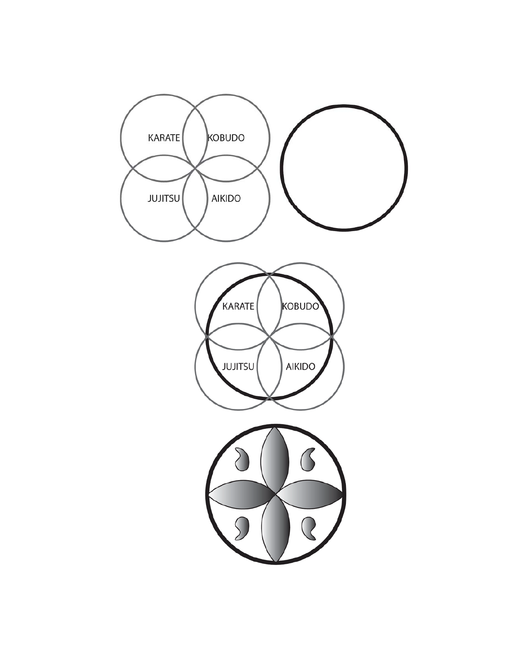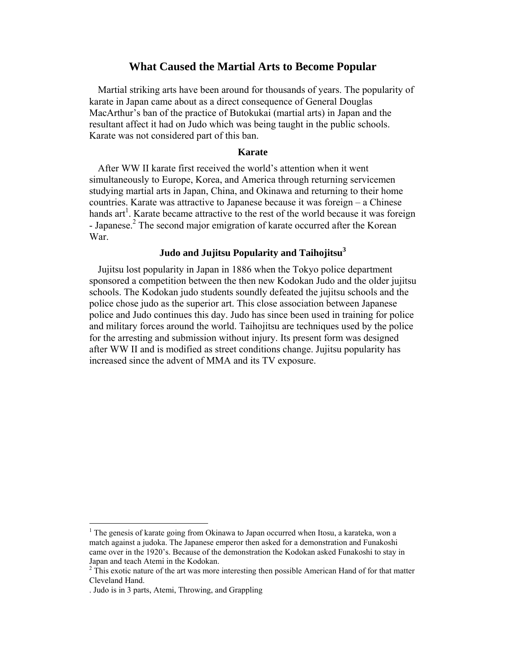## **What Caused the Martial Arts to Become Popular**

Martial striking arts have been around for thousands of years. The popularity of karate in Japan came about as a direct consequence of General Douglas MacArthur's ban of the practice of Butokukai (martial arts) in Japan and the resultant affect it had on Judo which was being taught in the public schools. Karate was not considered part of this ban.

#### **Karate**

After WW II karate first received the world's attention when it went simultaneously to Europe, Korea, and America through returning servicemen studying martial arts in Japan, China, and Okinawa and returning to their home countries. Karate was attractive to Japanese because it was foreign – a Chinese hands art<sup>1</sup>. Karate became attractive to the rest of the world because it was foreign - Japanese. $<sup>2</sup>$  The second major emigration of karate occurred after the Korean</sup> War.

# **Judo and Jujitsu Popularity and Taihojitsu<sup>3</sup>**

Jujitsu lost popularity in Japan in 1886 when the Tokyo police department sponsored a competition between the then new Kodokan Judo and the older jujitsu schools. The Kodokan judo students soundly defeated the jujitsu schools and the police chose judo as the superior art. This close association between Japanese police and Judo continues this day. Judo has since been used in training for police and military forces around the world. Taihojitsu are techniques used by the police for the arresting and submission without injury. Its present form was designed after WW II and is modified as street conditions change. Jujitsu popularity has increased since the advent of MMA and its TV exposure.

<sup>&</sup>lt;sup>1</sup> The genesis of karate going from Okinawa to Japan occurred when Itosu, a karateka, won a match against a judoka. The Japanese emperor then asked for a demonstration and Funakoshi came over in the 1920's. Because of the demonstration the Kodokan asked Funakoshi to stay in Japan and teach Atemi in the Kodokan.

 $2\text{ This exotic nature of the art was more interesting then possible American Hand of for that matter.}$ Cleveland Hand.

<sup>.</sup> Judo is in 3 parts, Atemi, Throwing, and Grappling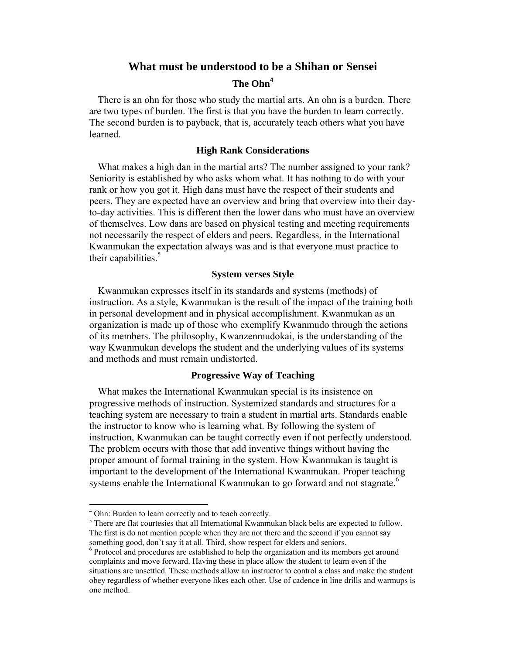## **What must be understood to be a Shihan or Sensei**

# **The Ohn4**

There is an ohn for those who study the martial arts. An ohn is a burden. There are two types of burden. The first is that you have the burden to learn correctly. The second burden is to payback, that is, accurately teach others what you have learned.

#### **High Rank Considerations**

What makes a high dan in the martial arts? The number assigned to your rank? Seniority is established by who asks whom what. It has nothing to do with your rank or how you got it. High dans must have the respect of their students and peers. They are expected have an overview and bring that overview into their dayto-day activities. This is different then the lower dans who must have an overview of themselves. Low dans are based on physical testing and meeting requirements not necessarily the respect of elders and peers. Regardless, in the International Kwanmukan the expectation always was and is that everyone must practice to their capabilities.<sup>5</sup>

#### **System verses Style**

Kwanmukan expresses itself in its standards and systems (methods) of instruction. As a style, Kwanmukan is the result of the impact of the training both in personal development and in physical accomplishment. Kwanmukan as an organization is made up of those who exemplify Kwanmudo through the actions of its members. The philosophy, Kwanzenmudokai, is the understanding of the way Kwanmukan develops the student and the underlying values of its systems and methods and must remain undistorted.

#### **Progressive Way of Teaching**

What makes the International Kwanmukan special is its insistence on progressive methods of instruction. Systemized standards and structures for a teaching system are necessary to train a student in martial arts. Standards enable the instructor to know who is learning what. By following the system of instruction, Kwanmukan can be taught correctly even if not perfectly understood. The problem occurs with those that add inventive things without having the proper amount of formal training in the system. How Kwanmukan is taught is important to the development of the International Kwanmukan. Proper teaching systems enable the International Kwanmukan to go forward and not stagnate.<sup>6</sup>

 $^4$  Ohn: Burden to learn correctly and to teach correctly.

 $<sup>5</sup>$  There are flat courtesies that all International Kwanmukan black belts are expected to follow.</sup> The first is do not mention people when they are not there and the second if you cannot say something good, don't say it at all. Third, show respect for elders and seniors.

<sup>&</sup>lt;sup>6</sup> Protocol and procedures are established to help the organization and its members get around complaints and move forward. Having these in place allow the student to learn even if the situations are unsettled. These methods allow an instructor to control a class and make the student obey regardless of whether everyone likes each other. Use of cadence in line drills and warmups is one method.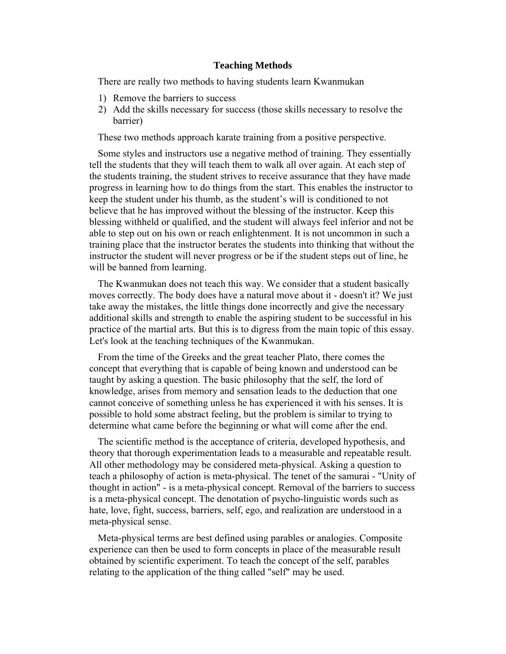#### **Teaching Methods**

There are really two methods to having students learn Kwanmukan

- 1) Remove the barriers to success
- 2) Add the skills necessary for success (those skills necessary to resolve the barrier)

These two methods approach karate training from a positive perspective.

Some styles and instructors use a negative method of training. They essentially tell the students that they will teach them to walk all over again. At each step of the students training, the student strives to receive assurance that they have made progress in learning how to do things from the start. This enables the instructor to keep the student under his thumb, as the student's will is conditioned to not believe that he has improved without the blessing of the instructor. Keep this blessing withheld or qualified, and the student will always feel inferior and not be able to step out on his own or reach enlightenment. It is not uncommon in such a training place that the instructor berates the students into thinking that without the instructor the student will never progress or be if the student steps out of line, he will be banned from learning.

The Kwanmukan does not teach this way. We consider that a student basically moves correctly. The body does have a natural move about it - doesn't it? We just take away the mistakes, the little things done incorrectly and give the necessary additional skills and strength to enable the aspiring student to be successful in his practice of the martial arts. But this is to digress from the main topic of this essay. Let's look at the teaching techniques of the Kwanmukan.

From the time of the Greeks and the great teacher Plato, there comes the concept that everything that is capable of being known and understood can be taught by asking a question. The basic philosophy that the self, the lord of knowledge, arises from memory and sensation leads to the deduction that one cannot conceive of something unless he has experienced it with his senses. It is possible to hold some abstract feeling, but the problem is similar to trying to determine what came before the beginning or what will come after the end.

The scientific method is the acceptance of criteria, developed hypothesis, and theory that thorough experimentation leads to a measurable and repeatable result. All other methodology may be considered meta-physical. Asking a question to teach a philosophy of action is meta-physical. The tenet of the samurai - "Unity of thought in action" - is a meta-physical concept. Removal of the barriers to success is a meta-physical concept. The denotation of psycho-linguistic words such as hate, love, fight, success, barriers, self, ego, and realization are understood in a meta-physical sense.

Meta-physical terms are best defined using parables or analogies. Composite experience can then be used to form concepts in place of the measurable result obtained by scientific experiment. To teach the concept of the self, parables relating to the application of the thing called "self" may be used.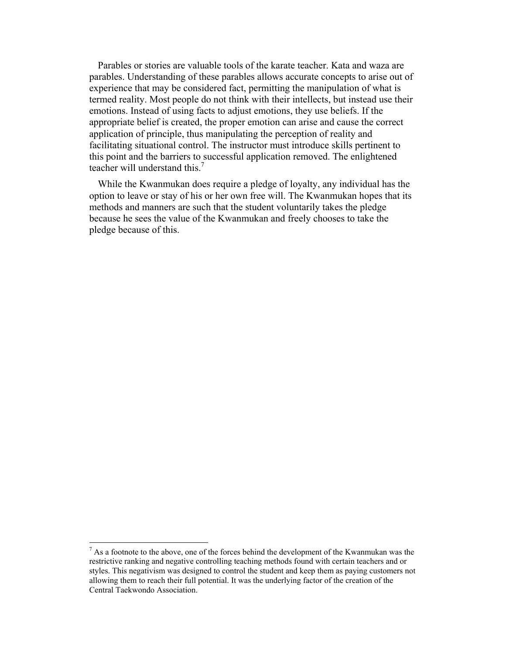Parables or stories are valuable tools of the karate teacher. Kata and waza are parables. Understanding of these parables allows accurate concepts to arise out of experience that may be considered fact, permitting the manipulation of what is termed reality. Most people do not think with their intellects, but instead use their emotions. Instead of using facts to adjust emotions, they use beliefs. If the appropriate belief is created, the proper emotion can arise and cause the correct application of principle, thus manipulating the perception of reality and facilitating situational control. The instructor must introduce skills pertinent to this point and the barriers to successful application removed. The enlightened teacher will understand this.<sup>7</sup>

While the Kwanmukan does require a pledge of loyalty, any individual has the option to leave or stay of his or her own free will. The Kwanmukan hopes that its methods and manners are such that the student voluntarily takes the pledge because he sees the value of the Kwanmukan and freely chooses to take the pledge because of this.

 $<sup>7</sup>$  As a footnote to the above, one of the forces behind the development of the Kwanmukan was the</sup> restrictive ranking and negative controlling teaching methods found with certain teachers and or styles. This negativism was designed to control the student and keep them as paying customers not allowing them to reach their full potential. It was the underlying factor of the creation of the Central Taekwondo Association.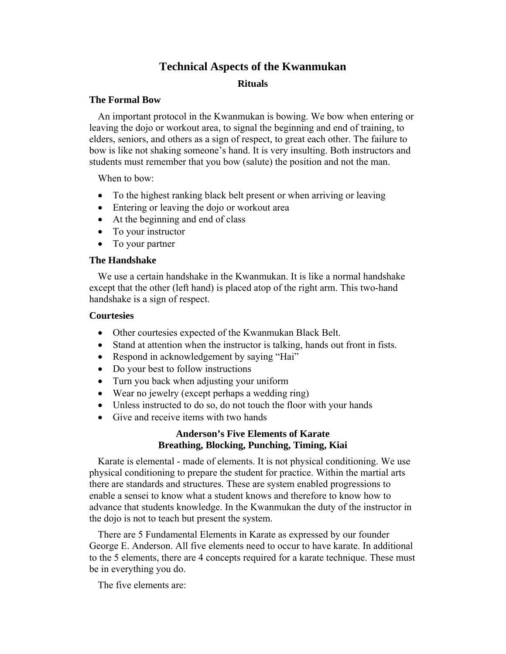# **Technical Aspects of the Kwanmukan**

## **Rituals**

## **The Formal Bow**

An important protocol in the Kwanmukan is bowing. We bow when entering or leaving the dojo or workout area, to signal the beginning and end of training, to elders, seniors, and others as a sign of respect, to great each other. The failure to bow is like not shaking someone's hand. It is very insulting. Both instructors and students must remember that you bow (salute) the position and not the man.

When to bow:

- To the highest ranking black belt present or when arriving or leaving
- Entering or leaving the dojo or workout area
- At the beginning and end of class
- To your instructor
- To your partner

## **The Handshake**

We use a certain handshake in the Kwanmukan. It is like a normal handshake except that the other (left hand) is placed atop of the right arm. This two-hand handshake is a sign of respect.

## **Courtesies**

- Other courtesies expected of the Kwanmukan Black Belt.
- Stand at attention when the instructor is talking, hands out front in fists.
- Respond in acknowledgement by saying "Hai"
- Do your best to follow instructions
- Turn you back when adjusting your uniform
- Wear no jewelry (except perhaps a wedding ring)
- Unless instructed to do so, do not touch the floor with your hands
- Give and receive items with two hands

# **Anderson's Five Elements of Karate Breathing, Blocking, Punching, Timing, Kiai**

Karate is elemental - made of elements. It is not physical conditioning. We use physical conditioning to prepare the student for practice. Within the martial arts there are standards and structures. These are system enabled progressions to enable a sensei to know what a student knows and therefore to know how to advance that students knowledge. In the Kwanmukan the duty of the instructor in the dojo is not to teach but present the system.

There are 5 Fundamental Elements in Karate as expressed by our founder George E. Anderson. All five elements need to occur to have karate. In additional to the 5 elements, there are 4 concepts required for a karate technique. These must be in everything you do.

The five elements are: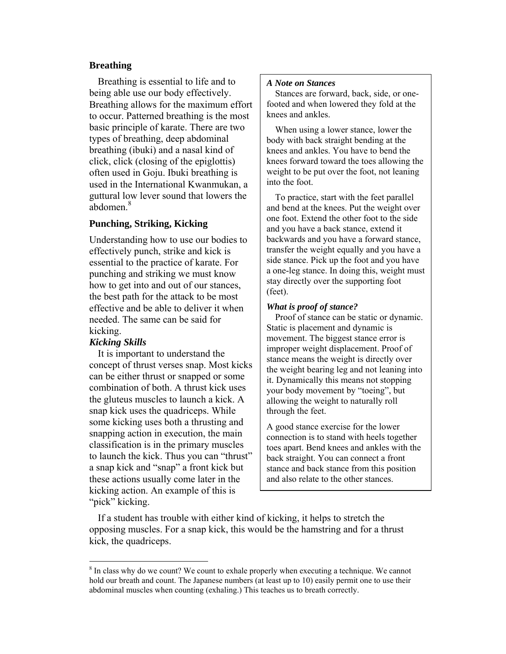## **Breathing**

Breathing is essential to life and to being able use our body effectively. Breathing allows for the maximum effort to occur. Patterned breathing is the most basic principle of karate. There are two types of breathing, deep abdominal breathing (ibuki) and a nasal kind of click, click (closing of the epiglottis) often used in Goju. Ibuki breathing is used in the International Kwanmukan, a guttural low lever sound that lowers the abdomen.<sup>8</sup>

# **Punching, Striking, Kicking**

Understanding how to use our bodies to effectively punch, strike and kick is essential to the practice of karate. For punching and striking we must know how to get into and out of our stances, the best path for the attack to be most effective and be able to deliver it when needed. The same can be said for kicking.

#### *Kicking Skills*

 $\overline{a}$ 

It is important to understand the concept of thrust verses snap. Most kicks can be either thrust or snapped or some combination of both. A thrust kick uses the gluteus muscles to launch a kick. A snap kick uses the quadriceps. While some kicking uses both a thrusting and snapping action in execution, the main classification is in the primary muscles to launch the kick. Thus you can "thrust" a snap kick and "snap" a front kick but these actions usually come later in the kicking action. An example of this is "pick" kicking.

#### *A Note on Stances*

Stances are forward, back, side, or onefooted and when lowered they fold at the knees and ankles.

When using a lower stance, lower the body with back straight bending at the knees and ankles. You have to bend the knees forward toward the toes allowing the weight to be put over the foot, not leaning into the foot.

To practice, start with the feet parallel and bend at the knees. Put the weight over one foot. Extend the other foot to the side and you have a back stance, extend it backwards and you have a forward stance, transfer the weight equally and you have a side stance. Pick up the foot and you have a one-leg stance. In doing this, weight must stay directly over the supporting foot (feet).

#### *What is proof of stance?*

Proof of stance can be static or dynamic. Static is placement and dynamic is movement. The biggest stance error is improper weight displacement. Proof of stance means the weight is directly over the weight bearing leg and not leaning into it. Dynamically this means not stopping your body movement by "toeing", but allowing the weight to naturally roll through the feet.

A good stance exercise for the lower connection is to stand with heels together toes apart. Bend knees and ankles with the back straight. You can connect a front stance and back stance from this position and also relate to the other stances.

If a student has trouble with either kind of kicking, it helps to stretch the opposing muscles. For a snap kick, this would be the hamstring and for a thrust kick, the quadriceps.

<sup>&</sup>lt;sup>8</sup> In class why do we count? We count to exhale properly when executing a technique. We cannot hold our breath and count. The Japanese numbers (at least up to 10) easily permit one to use their abdominal muscles when counting (exhaling.) This teaches us to breath correctly.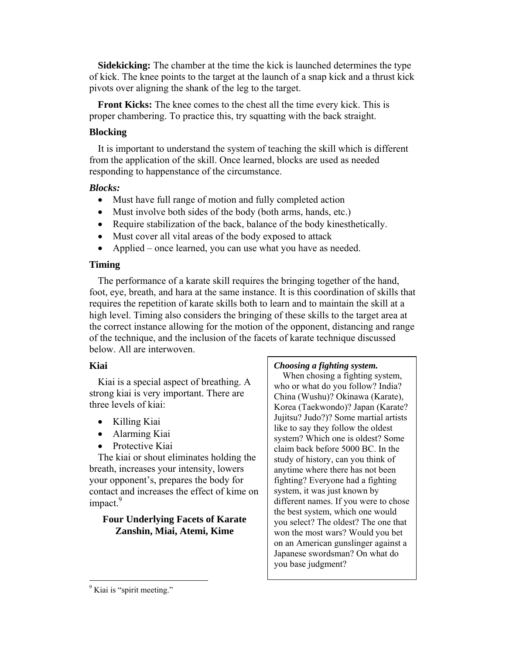**Sidekicking:** The chamber at the time the kick is launched determines the type of kick. The knee points to the target at the launch of a snap kick and a thrust kick pivots over aligning the shank of the leg to the target.

**Front Kicks:** The knee comes to the chest all the time every kick. This is proper chambering. To practice this, try squatting with the back straight.

# **Blocking**

It is important to understand the system of teaching the skill which is different from the application of the skill. Once learned, blocks are used as needed responding to happenstance of the circumstance.

## *Blocks:*

- Must have full range of motion and fully completed action
- Must involve both sides of the body (both arms, hands, etc.)
- Require stabilization of the back, balance of the body kinesthetically.
- Must cover all vital areas of the body exposed to attack
- Applied once learned, you can use what you have as needed.

# **Timing**

The performance of a karate skill requires the bringing together of the hand, foot, eye, breath, and hara at the same instance. It is this coordination of skills that requires the repetition of karate skills both to learn and to maintain the skill at a high level. Timing also considers the bringing of these skills to the target area at the correct instance allowing for the motion of the opponent, distancing and range of the technique, and the inclusion of the facets of karate technique discussed below. All are interwoven.

# **Kiai**

Kiai is a special aspect of breathing. A strong kiai is very important. There are three levels of kiai:

- Killing Kiai
- Alarming Kiai
- Protective Kiai

The kiai or shout eliminates holding the breath, increases your intensity, lowers your opponent's, prepares the body for contact and increases the effect of kime on impact.<sup>9</sup>

# **Four Underlying Facets of Karate Zanshin, Miai, Atemi, Kime**

#### *Choosing a fighting system.*

When chosing a fighting system, who or what do you follow? India? China (Wushu)? Okinawa (Karate), Korea (Taekwondo)? Japan (Karate? Jujitsu? Judo?)? Some martial artists like to say they follow the oldest system? Which one is oldest? Some claim back before 5000 BC. In the study of history, can you think of anytime where there has not been fighting? Everyone had a fighting system, it was just known by different names. If you were to chose the best system, which one would you select? The oldest? The one that won the most wars? Would you bet on an American gunslinger against a Japanese swordsman? On what do you base judgment?

<sup>&</sup>lt;sup>9</sup> Kiai is "spirit meeting."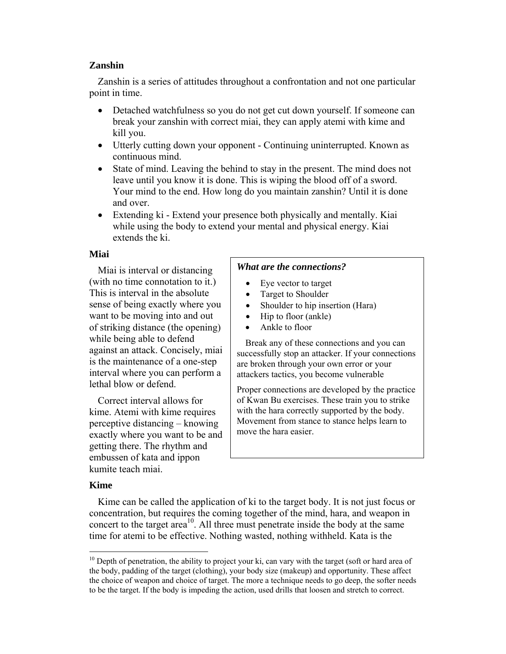## **Zanshin**

Zanshin is a series of attitudes throughout a confrontation and not one particular point in time.

- Detached watchfulness so you do not get cut down yourself. If someone can break your zanshin with correct miai, they can apply atemi with kime and kill you.
- Utterly cutting down your opponent Continuing uninterrupted. Known as continuous mind.
- State of mind. Leaving the behind to stay in the present. The mind does not leave until you know it is done. This is wiping the blood off of a sword. Your mind to the end. How long do you maintain zanshin? Until it is done and over.
- Extending ki Extend your presence both physically and mentally. Kiai while using the body to extend your mental and physical energy. Kiai extends the ki.

# **Miai**

Miai is interval or distancing (with no time connotation to it.) This is interval in the absolute sense of being exactly where you want to be moving into and out of striking distance (the opening) while being able to defend against an attack. Concisely, miai is the maintenance of a one-step interval where you can perform a lethal blow or defend.

Correct interval allows for kime. Atemi with kime requires perceptive distancing – knowing exactly where you want to be and getting there. The rhythm and embussen of kata and ippon kumite teach miai.

# *What are the connections?*

- Eye vector to target
- Target to Shoulder
- Shoulder to hip insertion (Hara)
- Hip to floor (ankle)
- Ankle to floor

Break any of these connections and you can successfully stop an attacker. If your connections are broken through your own error or your attackers tactics, you become vulnerable

Proper connections are developed by the practice of Kwan Bu exercises. These train you to strike with the hara correctly supported by the body. Movement from stance to stance helps learn to move the hara easier.

# **Kime**

 $\overline{a}$ 

Kime can be called the application of ki to the target body. It is not just focus or concentration, but requires the coming together of the mind, hara, and weapon in concert to the target  $area^{10}$ . All three must penetrate inside the body at the same time for atemi to be effective. Nothing wasted, nothing withheld. Kata is the

<sup>&</sup>lt;sup>10</sup> Depth of penetration, the ability to project your ki, can vary with the target (soft or hard area of the body, padding of the target (clothing), your body size (makeup) and opportunity. These affect the choice of weapon and choice of target. The more a technique needs to go deep, the softer needs to be the target. If the body is impeding the action, used drills that loosen and stretch to correct.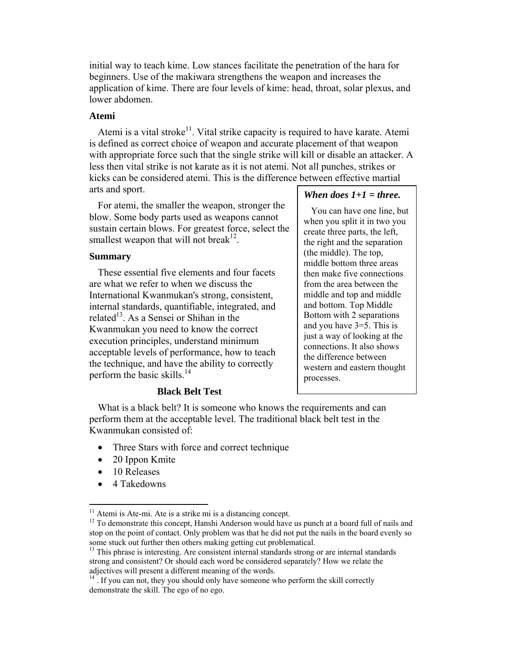initial way to teach kime. Low stances facilitate the penetration of the hara for beginners. Use of the makiwara strengthens the weapon and increases the application of kime. There are four levels of kime: head, throat, solar plexus, and lower abdomen.

#### **Atemi**

Atemi is a vital stroke<sup>11</sup>. Vital strike capacity is required to have karate. Atemi is defined as correct choice of weapon and accurate placement of that weapon with appropriate force such that the single strike will kill or disable an attacker. A less then vital strike is not karate as it is not atemi. Not all punches, strikes or kicks can be considered atemi. This is the difference between effective martial arts and sport.

For atemi, the smaller the weapon, stronger the blow. Some body parts used as weapons cannot sustain certain blows. For greatest force, select the smallest weapon that will not break<sup>12</sup>.

#### **Summary**

These essential five elements and four facets are what we refer to when we discuss the International Kwanmukan's strong, consistent, internal standards, quantifiable, integrated, and related<sup>13</sup>. As a Sensei or Shihan in the Kwanmukan you need to know the correct execution principles, understand minimum acceptable levels of performance, how to teach the technique, and have the ability to correctly perform the basic skills.<sup>14</sup>

# *When does 1+1 = three.*

You can have one line, but when you split it in two you create three parts, the left, the right and the separation (the middle). The top, middle bottom three areas then make five connections from the area between the middle and top and middle and bottom. Top Middle Bottom with 2 separations and you have 3=5. This is just a way of looking at the connections. It also shows the difference between western and eastern thought processes.

## **Black Belt Test**

What is a black belt? It is someone who knows the requirements and can perform them at the acceptable level. The traditional black belt test in the Kwanmukan consisted of:

- Three Stars with force and correct technique
- 20 Ippon Kmite
- 10 Releases
- 4 Takedowns

<sup>&</sup>lt;sup>11</sup> Atemi is Ate-mi. Ate is a strike mi is a distancing concept.<br><sup>12</sup> To demonstrate this concept, Hanshi Anderson would have us punch at a board full of nails and stop on the point of contact. Only problem was that he did not put the nails in the board evenly so some stuck out further then others making getting cut problematical.

<sup>&</sup>lt;sup>13</sup> This phrase is interesting. Are consistent internal standards strong or are internal standards strong and consistent? Or should each word be considered separately? How we relate the adjectives will present a different meaning of the words.

<sup>&</sup>lt;sup>14</sup>. If you can not, they you should only have someone who perform the skill correctly demonstrate the skill. The ego of no ego.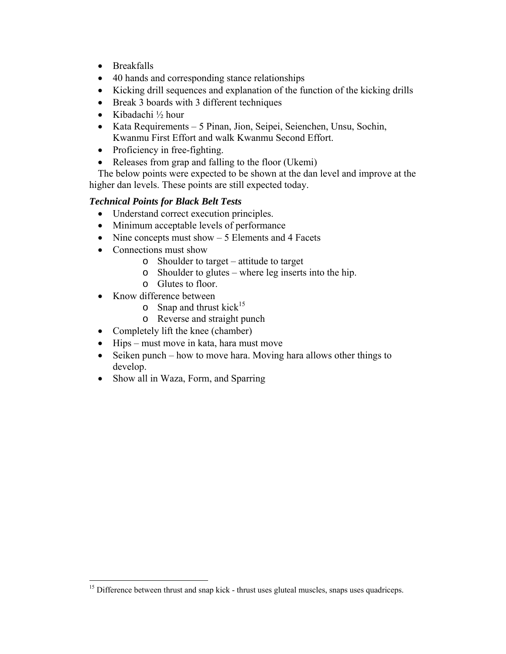- Breakfalls
- 40 hands and corresponding stance relationships
- Kicking drill sequences and explanation of the function of the kicking drills
- Break 3 boards with 3 different techniques
- Kibadachi ½ hour
- Kata Requirements 5 Pinan, Jion, Seipei, Seienchen, Unsu, Sochin, Kwanmu First Effort and walk Kwanmu Second Effort.
- Proficiency in free-fighting.
- Releases from grap and falling to the floor (Ukemi)

The below points were expected to be shown at the dan level and improve at the higher dan levels. These points are still expected today.

# *Technical Points for Black Belt Tests*

- Understand correct execution principles.
- Minimum acceptable levels of performance
- Nine concepts must show  $-5$  Elements and 4 Facets
- Connections must show
	- o Shoulder to target attitude to target
	- o Shoulder to glutes where leg inserts into the hip.
	- o Glutes to floor.
- Know difference between

<u>.</u>

- $\circ$  Snap and thrust kick<sup>15</sup>
- o Reverse and straight punch
- Completely lift the knee (chamber)
- Hips must move in kata, hara must move
- Seiken punch how to move hara. Moving hara allows other things to develop.
- Show all in Waza, Form, and Sparring

<sup>&</sup>lt;sup>15</sup> Difference between thrust and snap kick - thrust uses gluteal muscles, snaps uses quadriceps.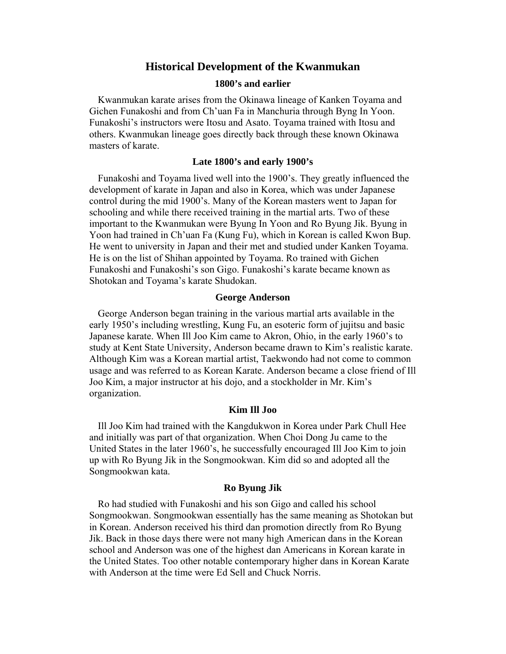# **Historical Development of the Kwanmukan**

#### **1800's and earlier**

Kwanmukan karate arises from the Okinawa lineage of Kanken Toyama and Gichen Funakoshi and from Ch'uan Fa in Manchuria through Byng In Yoon. Funakoshi's instructors were Itosu and Asato. Toyama trained with Itosu and others. Kwanmukan lineage goes directly back through these known Okinawa masters of karate.

#### **Late 1800's and early 1900's**

Funakoshi and Toyama lived well into the 1900's. They greatly influenced the development of karate in Japan and also in Korea, which was under Japanese control during the mid 1900's. Many of the Korean masters went to Japan for schooling and while there received training in the martial arts. Two of these important to the Kwanmukan were Byung In Yoon and Ro Byung Jik. Byung in Yoon had trained in Ch'uan Fa (Kung Fu), which in Korean is called Kwon Bup. He went to university in Japan and their met and studied under Kanken Toyama. He is on the list of Shihan appointed by Toyama. Ro trained with Gichen Funakoshi and Funakoshi's son Gigo. Funakoshi's karate became known as Shotokan and Toyama's karate Shudokan.

#### **George Anderson**

George Anderson began training in the various martial arts available in the early 1950's including wrestling, Kung Fu, an esoteric form of jujitsu and basic Japanese karate. When Ill Joo Kim came to Akron, Ohio, in the early 1960's to study at Kent State University, Anderson became drawn to Kim's realistic karate. Although Kim was a Korean martial artist, Taekwondo had not come to common usage and was referred to as Korean Karate. Anderson became a close friend of Ill Joo Kim, a major instructor at his dojo, and a stockholder in Mr. Kim's organization.

#### **Kim Ill Joo**

Ill Joo Kim had trained with the Kangdukwon in Korea under Park Chull Hee and initially was part of that organization. When Choi Dong Ju came to the United States in the later 1960's, he successfully encouraged Ill Joo Kim to join up with Ro Byung Jik in the Songmookwan. Kim did so and adopted all the Songmookwan kata.

#### **Ro Byung Jik**

Ro had studied with Funakoshi and his son Gigo and called his school Songmookwan. Songmookwan essentially has the same meaning as Shotokan but in Korean. Anderson received his third dan promotion directly from Ro Byung Jik. Back in those days there were not many high American dans in the Korean school and Anderson was one of the highest dan Americans in Korean karate in the United States. Too other notable contemporary higher dans in Korean Karate with Anderson at the time were Ed Sell and Chuck Norris.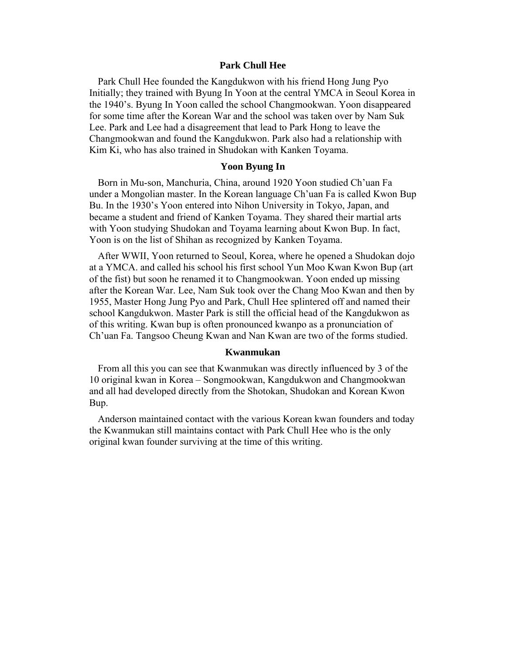#### **Park Chull Hee**

Park Chull Hee founded the Kangdukwon with his friend Hong Jung Pyo Initially; they trained with Byung In Yoon at the central YMCA in Seoul Korea in the 1940's. Byung In Yoon called the school Changmookwan. Yoon disappeared for some time after the Korean War and the school was taken over by Nam Suk Lee. Park and Lee had a disagreement that lead to Park Hong to leave the Changmookwan and found the Kangdukwon. Park also had a relationship with Kim Ki, who has also trained in Shudokan with Kanken Toyama.

#### **Yoon Byung In**

Born in Mu-son, Manchuria, China, around 1920 Yoon studied Ch'uan Fa under a Mongolian master. In the Korean language Ch'uan Fa is called Kwon Bup Bu. In the 1930's Yoon entered into Nihon University in Tokyo, Japan, and became a student and friend of Kanken Toyama. They shared their martial arts with Yoon studying Shudokan and Toyama learning about Kwon Bup. In fact, Yoon is on the list of Shihan as recognized by Kanken Toyama.

After WWII, Yoon returned to Seoul, Korea, where he opened a Shudokan dojo at a YMCA. and called his school his first school Yun Moo Kwan Kwon Bup (art of the fist) but soon he renamed it to Changmookwan. Yoon ended up missing after the Korean War. Lee, Nam Suk took over the Chang Moo Kwan and then by 1955, Master Hong Jung Pyo and Park, Chull Hee splintered off and named their school Kangdukwon. Master Park is still the official head of the Kangdukwon as of this writing. Kwan bup is often pronounced kwanpo as a pronunciation of Ch'uan Fa. Tangsoo Cheung Kwan and Nan Kwan are two of the forms studied.

#### **Kwanmukan**

From all this you can see that Kwanmukan was directly influenced by 3 of the 10 original kwan in Korea – Songmookwan, Kangdukwon and Changmookwan and all had developed directly from the Shotokan, Shudokan and Korean Kwon Bup.

Anderson maintained contact with the various Korean kwan founders and today the Kwanmukan still maintains contact with Park Chull Hee who is the only original kwan founder surviving at the time of this writing.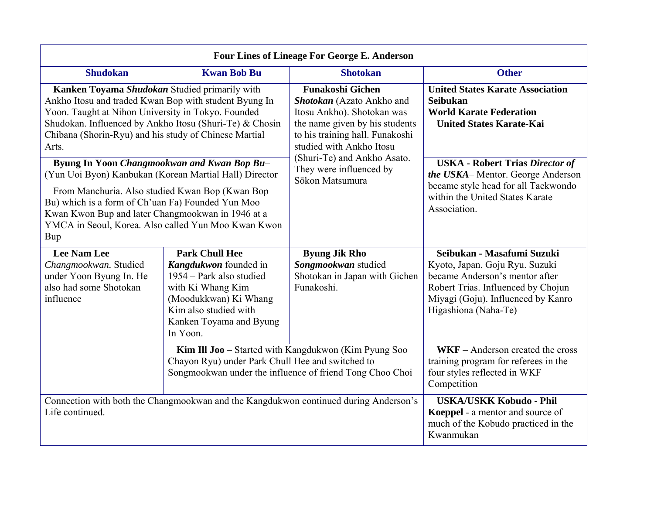| <b>Four Lines of Lineage For George E. Anderson</b>                                                                                                                                                                                                                                                                                                                                                                                                                                                                                                                                                                            |                                                                                                                                                                                          |                                                                                                                                                                                                                                                                  |                                                                                                                                                                                                                                                                                                         |  |
|--------------------------------------------------------------------------------------------------------------------------------------------------------------------------------------------------------------------------------------------------------------------------------------------------------------------------------------------------------------------------------------------------------------------------------------------------------------------------------------------------------------------------------------------------------------------------------------------------------------------------------|------------------------------------------------------------------------------------------------------------------------------------------------------------------------------------------|------------------------------------------------------------------------------------------------------------------------------------------------------------------------------------------------------------------------------------------------------------------|---------------------------------------------------------------------------------------------------------------------------------------------------------------------------------------------------------------------------------------------------------------------------------------------------------|--|
| <b>Shudokan</b>                                                                                                                                                                                                                                                                                                                                                                                                                                                                                                                                                                                                                | <b>Kwan Bob Bu</b>                                                                                                                                                                       | <b>Shotokan</b>                                                                                                                                                                                                                                                  | <b>Other</b>                                                                                                                                                                                                                                                                                            |  |
| Kanken Toyama Shudokan Studied primarily with<br>Ankho Itosu and traded Kwan Bop with student Byung In<br>Yoon. Taught at Nihon University in Tokyo. Founded<br>Shudokan. Influenced by Ankho Itosu (Shuri-Te) & Chosin<br>Chibana (Shorin-Ryu) and his study of Chinese Martial<br>Arts.<br>Byung In Yoon Changmookwan and Kwan Bop Bu-<br>(Yun Uoi Byon) Kanbukan (Korean Martial Hall) Director<br>From Manchuria. Also studied Kwan Bop (Kwan Bop)<br>Bu) which is a form of Ch'uan Fa) Founded Yun Moo<br>Kwan Kwon Bup and later Changmookwan in 1946 at a<br>YMCA in Seoul, Korea. Also called Yun Moo Kwan Kwon<br>Bup |                                                                                                                                                                                          | <b>Funakoshi Gichen</b><br>Shotokan (Azato Ankho and<br>Itosu Ankho). Shotokan was<br>the name given by his students<br>to his training hall. Funakoshi<br>studied with Ankho Itosu<br>(Shuri-Te) and Ankho Asato.<br>They were influenced by<br>Sōkon Matsumura | <b>United States Karate Association</b><br><b>Seibukan</b><br><b>World Karate Federation</b><br><b>United States Karate-Kai</b><br><b>USKA - Robert Trias Director of</b><br>the USKA-Mentor. George Anderson<br>became style head for all Taekwondo<br>within the United States Karate<br>Association. |  |
| <b>Lee Nam Lee</b><br>Changmookwan. Studied<br>under Yoon Byung In. He<br>also had some Shotokan<br>influence                                                                                                                                                                                                                                                                                                                                                                                                                                                                                                                  | <b>Park Chull Hee</b><br>Kangdukwon founded in<br>1954 – Park also studied<br>with Ki Whang Kim<br>(Moodukkwan) Ki Whang<br>Kim also studied with<br>Kanken Toyama and Byung<br>In Yoon. | <b>Byung Jik Rho</b><br>Songmookwan studied<br>Shotokan in Japan with Gichen<br>Funakoshi.                                                                                                                                                                       | Seibukan - Masafumi Suzuki<br>Kyoto, Japan. Goju Ryu. Suzuki<br>became Anderson's mentor after<br>Robert Trias. Influenced by Chojun<br>Miyagi (Goju). Influenced by Kanro<br>Higashiona (Naha-Te)                                                                                                      |  |
|                                                                                                                                                                                                                                                                                                                                                                                                                                                                                                                                                                                                                                | Chayon Ryu) under Park Chull Hee and switched to                                                                                                                                         | Kim Ill Joo - Started with Kangdukwon (Kim Pyung Soo<br>Songmookwan under the influence of friend Tong Choo Choi                                                                                                                                                 | $WKF - Anderson created the cross$<br>training program for referees in the<br>four styles reflected in WKF<br>Competition                                                                                                                                                                               |  |
| Connection with both the Changmookwan and the Kangdukwon continued during Anderson's<br>Life continued.                                                                                                                                                                                                                                                                                                                                                                                                                                                                                                                        |                                                                                                                                                                                          |                                                                                                                                                                                                                                                                  | <b>USKA/USKK Kobudo - Phil</b><br>Koeppel - a mentor and source of<br>much of the Kobudo practiced in the<br>Kwanmukan                                                                                                                                                                                  |  |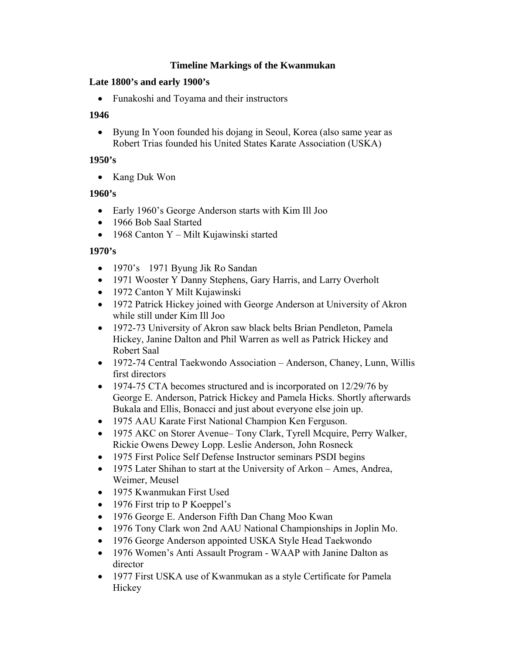# **Timeline Markings of the Kwanmukan**

# **Late 1800's and early 1900's**

• Funakoshi and Toyama and their instructors

# **1946**

• Byung In Yoon founded his dojang in Seoul, Korea (also same year as Robert Trias founded his United States Karate Association (USKA)

# **1950's**

• Kang Duk Won

# **1960's**

- Early 1960's George Anderson starts with Kim Ill Joo
- 1966 Bob Saal Started
- 1968 Canton Y Milt Kujawinski started

# **1970's**

- 1970's 1971 Byung Jik Ro Sandan
- 1971 Wooster Y Danny Stephens, Gary Harris, and Larry Overholt
- 1972 Canton Y Milt Kujawinski
- 1972 Patrick Hickey joined with George Anderson at University of Akron while still under Kim Ill Joo
- 1972-73 University of Akron saw black belts Brian Pendleton, Pamela Hickey, Janine Dalton and Phil Warren as well as Patrick Hickey and Robert Saal
- 1972-74 Central Taekwondo Association Anderson, Chaney, Lunn, Willis first directors
- 1974-75 CTA becomes structured and is incorporated on 12/29/76 by George E. Anderson, Patrick Hickey and Pamela Hicks. Shortly afterwards Bukala and Ellis, Bonacci and just about everyone else join up.
- 1975 AAU Karate First National Champion Ken Ferguson.
- 1975 AKC on Storer Avenue– Tony Clark, Tyrell Mcquire, Perry Walker, Rickie Owens Dewey Lopp. Leslie Anderson, John Rosneck
- 1975 First Police Self Defense Instructor seminars PSDI begins
- 1975 Later Shihan to start at the University of Arkon Ames, Andrea, Weimer, Meusel
- 1975 Kwanmukan First Used
- 1976 First trip to P Koeppel's
- 1976 George E. Anderson Fifth Dan Chang Moo Kwan
- 1976 Tony Clark won 2nd AAU National Championships in Joplin Mo.
- 1976 George Anderson appointed USKA Style Head Taekwondo
- 1976 Women's Anti Assault Program WAAP with Janine Dalton as director
- 1977 First USKA use of Kwanmukan as a style Certificate for Pamela Hickey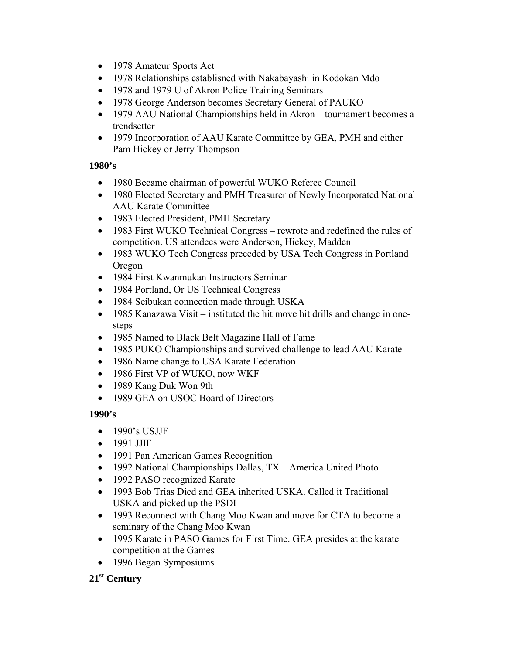- 1978 Amateur Sports Act
- 1978 Relationships establisned with Nakabayashi in Kodokan Mdo
- 1978 and 1979 U of Akron Police Training Seminars
- 1978 George Anderson becomes Secretary General of PAUKO
- 1979 AAU National Championships held in Akron tournament becomes a trendsetter
- 1979 Incorporation of AAU Karate Committee by GEA, PMH and either Pam Hickey or Jerry Thompson

# **1980's**

- 1980 Became chairman of powerful WUKO Referee Council
- 1980 Elected Secretary and PMH Treasurer of Newly Incorporated National AAU Karate Committee
- 1983 Elected President, PMH Secretary
- 1983 First WUKO Technical Congress rewrote and redefined the rules of competition. US attendees were Anderson, Hickey, Madden
- 1983 WUKO Tech Congress preceded by USA Tech Congress in Portland Oregon
- 1984 First Kwanmukan Instructors Seminar
- 1984 Portland, Or US Technical Congress
- 1984 Seibukan connection made through USKA
- 1985 Kanazawa Visit instituted the hit move hit drills and change in onesteps
- 1985 Named to Black Belt Magazine Hall of Fame
- 1985 PUKO Championships and survived challenge to lead AAU Karate
- 1986 Name change to USA Karate Federation
- 1986 First VP of WUKO, now WKF
- 1989 Kang Duk Won 9th
- 1989 GEA on USOC Board of Directors

# **1990's**

- 1990's USJJF
- 1991 JJIF
- 1991 Pan American Games Recognition
- 1992 National Championships Dallas, TX America United Photo
- 1992 PASO recognized Karate
- 1993 Bob Trias Died and GEA inherited USKA. Called it Traditional USKA and picked up the PSDI
- 1993 Reconnect with Chang Moo Kwan and move for CTA to become a seminary of the Chang Moo Kwan
- 1995 Karate in PASO Games for First Time. GEA presides at the karate competition at the Games
- 1996 Began Symposiums

# **21st Century**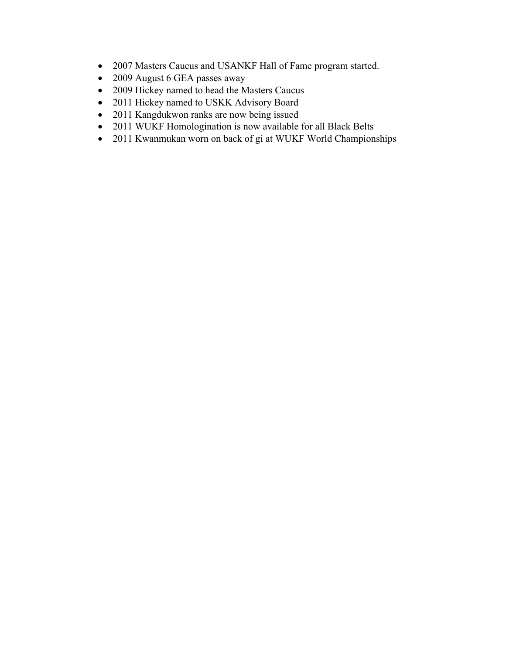- 2007 Masters Caucus and USANKF Hall of Fame program started.
- 2009 August 6 GEA passes away
- 2009 Hickey named to head the Masters Caucus
- 2011 Hickey named to USKK Advisory Board
- 2011 Kangdukwon ranks are now being issued
- 2011 WUKF Homologination is now available for all Black Belts
- 2011 Kwanmukan worn on back of gi at WUKF World Championships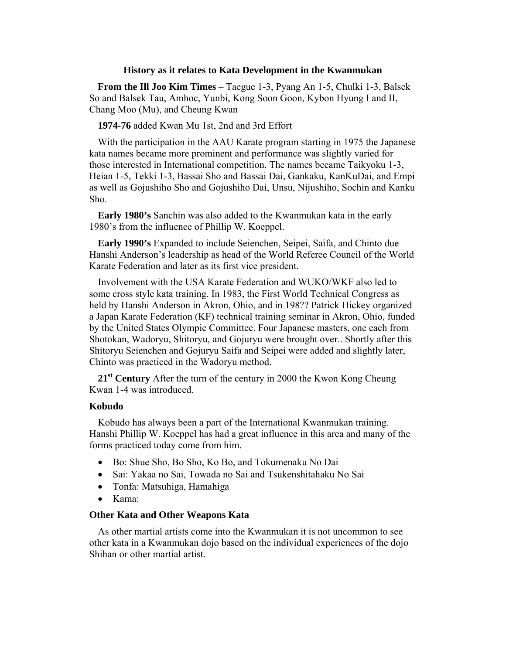#### **History as it relates to Kata Development in the Kwanmukan**

**From the Ill Joo Kim Times** – Taegue 1-3, Pyang An 1-5, Chulki 1-3, Balsek So and Balsek Tau, Amhoc, Yunbi, Kong Soon Goon, Kybon Hyung I and II, Chang Moo (Mu), and Cheung Kwan

**1974-76** added Kwan Mu 1st, 2nd and 3rd Effort

With the participation in the AAU Karate program starting in 1975 the Japanese kata names became more prominent and performance was slightly varied for those interested in International competition. The names became Taikyoku 1-3, Heian 1-5, Tekki 1-3, Bassai Sho and Bassai Dai, Gankaku, KanKuDai, and Empi as well as Gojushiho Sho and Gojushiho Dai, Unsu, Nijushiho, Sochin and Kanku Sho.

**Early 1980's** Sanchin was also added to the Kwanmukan kata in the early 1980's from the influence of Phillip W. Koeppel.

**Early 1990's** Expanded to include Seienchen, Seipei, Saifa, and Chinto due Hanshi Anderson's leadership as head of the World Referee Council of the World Karate Federation and later as its first vice president.

Involvement with the USA Karate Federation and WUKO/WKF also led to some cross style kata training. In 1983, the First World Technical Congress as held by Hanshi Anderson in Akron, Ohio, and in 198?? Patrick Hickey organized a Japan Karate Federation (KF) technical training seminar in Akron, Ohio, funded by the United States Olympic Committee. Four Japanese masters, one each from Shotokan, Wadoryu, Shitoryu, and Gojuryu were brought over.. Shortly after this Shitoryu Seienchen and Gojuryu Saifa and Seipei were added and slightly later, Chinto was practiced in the Wadoryu method.

21<sup>st</sup> Century After the turn of the century in 2000 the Kwon Kong Cheung Kwan 1-4 was introduced.

## **Kobudo**

Kobudo has always been a part of the International Kwanmukan training. Hanshi Phillip W. Koeppel has had a great influence in this area and many of the forms practiced today come from him.

- Bo: Shue Sho, Bo Sho, Ko Bo, and Tokumenaku No Dai
- Sai: Yakaa no Sai, Towada no Sai and Tsukenshitahaku No Sai
- Tonfa: Matsuhiga, Hamahiga
- Kama:

## **Other Kata and Other Weapons Kata**

As other martial artists come into the Kwanmukan it is not uncommon to see other kata in a Kwanmukan dojo based on the individual experiences of the dojo Shihan or other martial artist.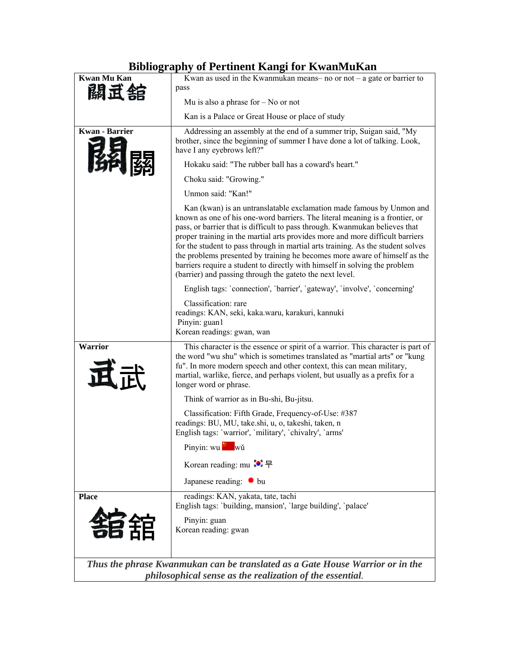# **Bibliography of Pertinent Kangi for KwanMuKan**

| Kwan Mu Kan           | Divilography of I crement isangi ior is wanivialisan<br>Kwan as used in the Kwanmukan means- no or not $-$ a gate or barrier to                                                                                                                                                                                                                                                                                                                                                                                                                                                                                                  |  |  |  |
|-----------------------|----------------------------------------------------------------------------------------------------------------------------------------------------------------------------------------------------------------------------------------------------------------------------------------------------------------------------------------------------------------------------------------------------------------------------------------------------------------------------------------------------------------------------------------------------------------------------------------------------------------------------------|--|--|--|
| 關立                    | pass                                                                                                                                                                                                                                                                                                                                                                                                                                                                                                                                                                                                                             |  |  |  |
|                       | Mu is also a phrase for $-$ No or not                                                                                                                                                                                                                                                                                                                                                                                                                                                                                                                                                                                            |  |  |  |
|                       | Kan is a Palace or Great House or place of study                                                                                                                                                                                                                                                                                                                                                                                                                                                                                                                                                                                 |  |  |  |
| <b>Kwan</b> - Barrier | Addressing an assembly at the end of a summer trip, Suigan said, "My<br>brother, since the beginning of summer I have done a lot of talking. Look,<br>have I any eyebrows left?"                                                                                                                                                                                                                                                                                                                                                                                                                                                 |  |  |  |
|                       | Hokaku said: "The rubber ball has a coward's heart."                                                                                                                                                                                                                                                                                                                                                                                                                                                                                                                                                                             |  |  |  |
|                       | Choku said: "Growing."                                                                                                                                                                                                                                                                                                                                                                                                                                                                                                                                                                                                           |  |  |  |
|                       | Unmon said: "Kan!"                                                                                                                                                                                                                                                                                                                                                                                                                                                                                                                                                                                                               |  |  |  |
|                       | Kan (kwan) is an untranslatable exclamation made famous by Unmon and<br>known as one of his one-word barriers. The literal meaning is a frontier, or<br>pass, or barrier that is difficult to pass through. Kwanmukan believes that<br>proper training in the martial arts provides more and more difficult barriers<br>for the student to pass through in martial arts training. As the student solves<br>the problems presented by training he becomes more aware of himself as the<br>barriers require a student to directly with himself in solving the problem<br>(barrier) and passing through the gate to the next level. |  |  |  |
|                       | English tags: 'connection', 'barrier', 'gateway', 'involve', 'concerning'                                                                                                                                                                                                                                                                                                                                                                                                                                                                                                                                                        |  |  |  |
|                       | Classification: rare<br>readings: KAN, seki, kaka.waru, karakuri, kannuki<br>Pinyin: guan1<br>Korean readings: gwan, wan                                                                                                                                                                                                                                                                                                                                                                                                                                                                                                         |  |  |  |
| <b>Warrior</b>        | This character is the essence or spirit of a warrior. This character is part of<br>the word "wu shu" which is sometimes translated as "martial arts" or "kung<br>fu". In more modern speech and other context, this can mean military,<br>martial, warlike, fierce, and perhaps violent, but usually as a prefix for a<br>longer word or phrase.                                                                                                                                                                                                                                                                                 |  |  |  |
|                       | Think of warrior as in Bu-shi, Bu-jitsu.                                                                                                                                                                                                                                                                                                                                                                                                                                                                                                                                                                                         |  |  |  |
|                       | Classification: Fifth Grade, Frequency-of-Use: #387<br>readings: BU, MU, take.shi, u, o, takeshi, taken, n<br>English tags: 'warrior', 'military', 'chivalry', 'arms'                                                                                                                                                                                                                                                                                                                                                                                                                                                            |  |  |  |
|                       | Pinyin: wu                                                                                                                                                                                                                                                                                                                                                                                                                                                                                                                                                                                                                       |  |  |  |
|                       | Korean reading: mu $\bullet$ 무                                                                                                                                                                                                                                                                                                                                                                                                                                                                                                                                                                                                   |  |  |  |
|                       | Japanese reading: $\bullet$ bu                                                                                                                                                                                                                                                                                                                                                                                                                                                                                                                                                                                                   |  |  |  |
| <b>Place</b>          | readings: KAN, yakata, tate, tachi<br>English tags: 'building, mansion', 'large building', 'palace'                                                                                                                                                                                                                                                                                                                                                                                                                                                                                                                              |  |  |  |
| 君甜                    | Pinyin: guan<br>Korean reading: gwan                                                                                                                                                                                                                                                                                                                                                                                                                                                                                                                                                                                             |  |  |  |
|                       | Thus the phrase Kwanmukan can be translated as a Gate House Warrior or in the<br>philosophical sense as the realization of the essential.                                                                                                                                                                                                                                                                                                                                                                                                                                                                                        |  |  |  |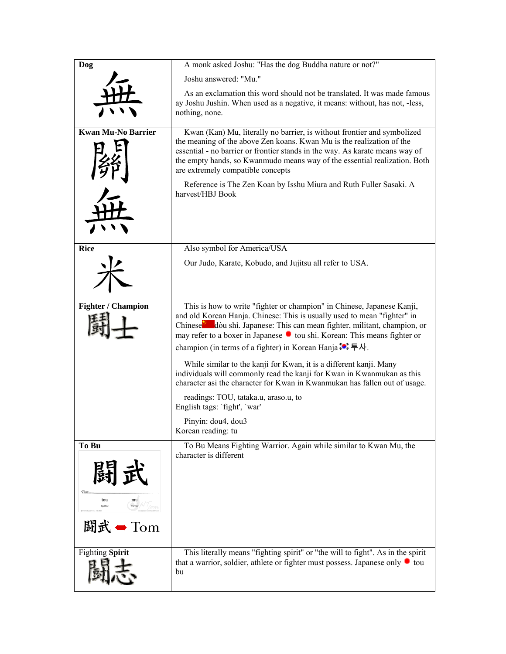| <b>Dog</b>                      | A monk asked Joshu: "Has the dog Buddha nature or not?"                                                                                                                                                                                                                 |
|---------------------------------|-------------------------------------------------------------------------------------------------------------------------------------------------------------------------------------------------------------------------------------------------------------------------|
|                                 | Joshu answered: "Mu."                                                                                                                                                                                                                                                   |
|                                 | As an exclamation this word should not be translated. It was made famous<br>ay Joshu Jushin. When used as a negative, it means: without, has not, -less,<br>nothing, none.                                                                                              |
| <b>Kwan Mu-No Barrier</b>       | Kwan (Kan) Mu, literally no barrier, is without frontier and symbolized                                                                                                                                                                                                 |
|                                 | the meaning of the above Zen koans. Kwan Mu is the realization of the<br>essential - no barrier or frontier stands in the way. As karate means way of<br>the empty hands, so Kwanmudo means way of the essential realization. Both<br>are extremely compatible concepts |
|                                 | Reference is The Zen Koan by Isshu Miura and Ruth Fuller Sasaki. A<br>harvest/HBJ Book                                                                                                                                                                                  |
|                                 |                                                                                                                                                                                                                                                                         |
| <b>Rice</b>                     | Also symbol for America/USA                                                                                                                                                                                                                                             |
|                                 | Our Judo, Karate, Kobudo, and Jujitsu all refer to USA.                                                                                                                                                                                                                 |
| <b>Fighter / Champion</b>       | This is how to write "fighter or champion" in Chinese, Japanese Kanji,                                                                                                                                                                                                  |
|                                 | and old Korean Hanja. Chinese: This is usually used to mean "fighter" in<br>Chinese dòu shì. Japanese: This can mean fighter, militant, champion, or<br>may refer to a boxer in Japanese C tou shi. Korean: This means fighter or                                       |
|                                 | champion (in terms of a fighter) in Korean Hanja :• 두사.                                                                                                                                                                                                                 |
|                                 | While similar to the kanji for Kwan, it is a different kanji. Many<br>individuals will commonly read the kanji for Kwan in Kwanmukan as this<br>character asi the character for Kwan in Kwanmukan has fallen out of usage.                                              |
|                                 | readings: TOU, tataka.u, araso.u, to<br>English tags: `fight', `war'                                                                                                                                                                                                    |
|                                 | Pinyin: dou4, dou3<br>Korean reading: tu                                                                                                                                                                                                                                |
| To Bu                           | To Bu Means Fighting Warrior. Again while similar to Kwan Mu, the<br>character is different                                                                                                                                                                             |
|                                 |                                                                                                                                                                                                                                                                         |
| Tom<br>tou<br>mu                |                                                                                                                                                                                                                                                                         |
| 闘武<br>$\blacktriangleright$ Tom |                                                                                                                                                                                                                                                                         |
| <b>Fighting Spirit</b>          | This literally means "fighting spirit" or "the will to fight". As in the spirit<br>that a warrior, soldier, athlete or fighter must possess. Japanese only $\bullet$ tou<br>bu                                                                                          |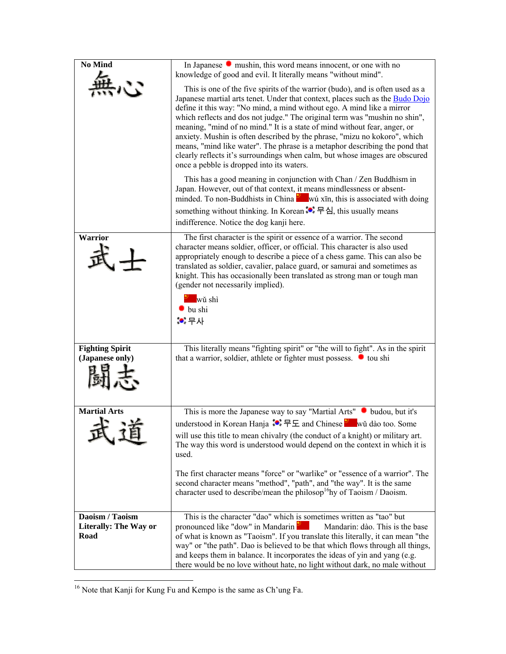| <b>No Mind</b>                                   | In Japanese $\bullet$ mushin, this word means innocent, or one with no<br>knowledge of good and evil. It literally means "without mind".                                                                                                                                                                                                                                                                                                                                                                                                                                                                                                                                                                                                                                 |
|--------------------------------------------------|--------------------------------------------------------------------------------------------------------------------------------------------------------------------------------------------------------------------------------------------------------------------------------------------------------------------------------------------------------------------------------------------------------------------------------------------------------------------------------------------------------------------------------------------------------------------------------------------------------------------------------------------------------------------------------------------------------------------------------------------------------------------------|
|                                                  | This is one of the five spirits of the warrior (budo), and is often used as a<br>Japanese martial arts tenet. Under that context, places such as the <b>Budo Dojo</b><br>define it this way: "No mind, a mind without ego. A mind like a mirror<br>which reflects and dos not judge." The original term was "mushin no shin",<br>meaning, "mind of no mind." It is a state of mind without fear, anger, or<br>anxiety. Mushin is often described by the phrase, "mizu no kokoro", which<br>means, "mind like water". The phrase is a metaphor describing the pond that<br>clearly reflects it's surroundings when calm, but whose images are obscured<br>once a pebble is dropped into its waters.<br>This has a good meaning in conjunction with Chan / Zen Buddhism in |
|                                                  | Japan. However, out of that context, it means mindlessness or absent-<br>minded. To non-Buddhists in China <b>W</b> wú xīn, this is associated with doing<br>something without thinking. In Korean $\bullet$ 무심, this usually means<br>indifference. Notice the dog kanji here.                                                                                                                                                                                                                                                                                                                                                                                                                                                                                          |
| <b>Warrior</b>                                   | The first character is the spirit or essence of a warrior. The second<br>character means soldier, officer, or official. This character is also used<br>appropriately enough to describe a piece of a chess game. This can also be<br>translated as soldier, cavalier, palace guard, or samurai and sometimes as<br>knight. This has occasionally been translated as strong man or tough man<br>(gender not necessarily implied).<br>wŭ shì<br>$\bullet$ bu shi<br><b>. :</b> 무사                                                                                                                                                                                                                                                                                          |
| <b>Fighting Spirit</b><br>(Japanese only)        | This literally means "fighting spirit" or "the will to fight". As in the spirit<br>that a warrior, soldier, athlete or fighter must possess. • tou shi                                                                                                                                                                                                                                                                                                                                                                                                                                                                                                                                                                                                                   |
| <b>Martial Arts</b>                              | This is more the Japanese way to say "Martial Arts" • budou, but it's<br>understood in Korean Hanja $\bullet \neq \bot$ and Chinese wǔ dào too. Some<br>will use this title to mean chivalry (the conduct of a knight) or military art.<br>The way this word is understood would depend on the context in which it is<br>used.<br>The first character means "force" or "warlike" or "essence of a warrior". The                                                                                                                                                                                                                                                                                                                                                          |
|                                                  | second character means "method", "path", and "the way". It is the same<br>character used to describe/mean the philosop <sup>16</sup> hy of Taoism / Daoism.                                                                                                                                                                                                                                                                                                                                                                                                                                                                                                                                                                                                              |
| Daoism / Taoism<br>Literally: The Way or<br>Road | This is the character "dao" which is sometimes written as "tao" but<br>pronounced like "dow" in Mandarin <sup>37</sup><br>Mandarin: dào. This is the base<br>of what is known as "Taoism". If you translate this literally, it can mean "the<br>way" or "the path". Dao is believed to be that which flows through all things,<br>and keeps them in balance. It incorporates the ideas of yin and yang (e.g.<br>there would be no love without hate, no light without dark, no male without                                                                                                                                                                                                                                                                              |
|                                                  |                                                                                                                                                                                                                                                                                                                                                                                                                                                                                                                                                                                                                                                                                                                                                                          |

 $16$  Note that Kanji for Kung Fu and Kempo is the same as Ch'ung Fa.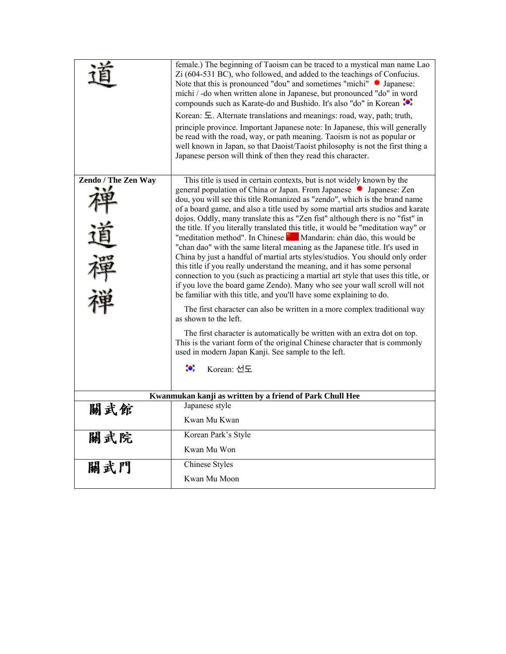|                                                          | female.) The beginning of Taoism can be traced to a mystical man name Lao<br>Zi (604-531 BC), who followed, and added to the teachings of Confucius.                                                                                                                                                        |  |  |  |
|----------------------------------------------------------|-------------------------------------------------------------------------------------------------------------------------------------------------------------------------------------------------------------------------------------------------------------------------------------------------------------|--|--|--|
|                                                          | Note that this is pronounced "dou" and sometimes "michi" • Japanese:<br>michi / -do when written alone in Japanese, but pronounced "do" in word<br>compounds such as Karate-do and Bushido. It's also "do" in Korean <sup>10</sup> .                                                                        |  |  |  |
|                                                          | Korean: E. Alternate translations and meanings: road, way, path; truth,                                                                                                                                                                                                                                     |  |  |  |
|                                                          | principle province. Important Japanese note: In Japanese, this will generally<br>be read with the road, way, or path meaning. Taoism is not as popular or<br>well known in Japan, so that Daoist/Taoist philosophy is not the first thing a<br>Japanese person will think of then they read this character. |  |  |  |
| Zendo / The Zen Way                                      | This title is used in certain contexts, but is not widely known by the                                                                                                                                                                                                                                      |  |  |  |
|                                                          | general population of China or Japan. From Japanese • Japanese: Zen                                                                                                                                                                                                                                         |  |  |  |
|                                                          | dou, you will see this title Romanized as "zendo", which is the brand name                                                                                                                                                                                                                                  |  |  |  |
|                                                          | of a board game, and also a title used by some martial arts studios and karate<br>dojos. Oddly, many translate this as "Zen fist" although there is no "fist" in                                                                                                                                            |  |  |  |
|                                                          | the title. If you literally translated this title, it would be "meditation way" or                                                                                                                                                                                                                          |  |  |  |
|                                                          | "meditation method". In Chinese Mandarin: chán dào, this would be<br>"chan dao" with the same literal meaning as the Japanese title. It's used in                                                                                                                                                           |  |  |  |
|                                                          | China by just a handful of martial arts styles/studios. You should only order                                                                                                                                                                                                                               |  |  |  |
|                                                          | this title if you really understand the meaning, and it has some personal                                                                                                                                                                                                                                   |  |  |  |
|                                                          | connection to you (such as practicing a martial art style that uses this title, or<br>if you love the board game Zendo). Many who see your wall scroll will not<br>be familiar with this title, and you'll have some explaining to do.                                                                      |  |  |  |
|                                                          | The first character can also be written in a more complex traditional way<br>as shown to the left.                                                                                                                                                                                                          |  |  |  |
|                                                          | The first character is automatically be written with an extra dot on top.<br>This is the variant form of the original Chinese character that is commonly<br>used in modern Japan Kanji. See sample to the left.                                                                                             |  |  |  |
|                                                          | $\bullet$<br>Korean: 선도                                                                                                                                                                                                                                                                                     |  |  |  |
| Kwanmukan kanji as written by a friend of Park Chull Hee |                                                                                                                                                                                                                                                                                                             |  |  |  |
| 關武館                                                      | Japanese style                                                                                                                                                                                                                                                                                              |  |  |  |
|                                                          | Kwan Mu Kwan                                                                                                                                                                                                                                                                                                |  |  |  |
| 關武院                                                      | Korean Park's Style                                                                                                                                                                                                                                                                                         |  |  |  |
|                                                          | Kwan Mu Won                                                                                                                                                                                                                                                                                                 |  |  |  |
| 關武門                                                      | <b>Chinese Styles</b>                                                                                                                                                                                                                                                                                       |  |  |  |
|                                                          | Kwan Mu Moon                                                                                                                                                                                                                                                                                                |  |  |  |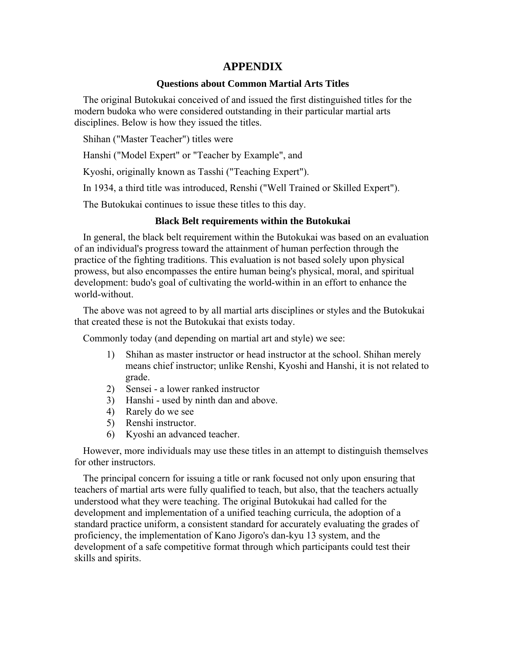# **APPENDIX**

## **Questions about Common Martial Arts Titles**

The original Butokukai conceived of and issued the first distinguished titles for the modern budoka who were considered outstanding in their particular martial arts disciplines. Below is how they issued the titles.

Shihan ("Master Teacher") titles were

Hanshi ("Model Expert" or "Teacher by Example", and

Kyoshi, originally known as Tasshi ("Teaching Expert").

In 1934, a third title was introduced, Renshi ("Well Trained or Skilled Expert").

The Butokukai continues to issue these titles to this day.

## **Black Belt requirements within the Butokukai**

In general, the black belt requirement within the Butokukai was based on an evaluation of an individual's progress toward the attainment of human perfection through the practice of the fighting traditions. This evaluation is not based solely upon physical prowess, but also encompasses the entire human being's physical, moral, and spiritual development: budo's goal of cultivating the world-within in an effort to enhance the world-without.

The above was not agreed to by all martial arts disciplines or styles and the Butokukai that created these is not the Butokukai that exists today.

Commonly today (and depending on martial art and style) we see:

- 1) Shihan as master instructor or head instructor at the school. Shihan merely means chief instructor; unlike Renshi, Kyoshi and Hanshi, it is not related to grade.
- 2) Sensei a lower ranked instructor
- 3) Hanshi used by ninth dan and above.
- 4) Rarely do we see
- 5) Renshi instructor.
- 6) Kyoshi an advanced teacher.

However, more individuals may use these titles in an attempt to distinguish themselves for other instructors.

The principal concern for issuing a title or rank focused not only upon ensuring that teachers of martial arts were fully qualified to teach, but also, that the teachers actually understood what they were teaching. The original Butokukai had called for the development and implementation of a unified teaching curricula, the adoption of a standard practice uniform, a consistent standard for accurately evaluating the grades of proficiency, the implementation of Kano Jigoro's dan-kyu 13 system, and the development of a safe competitive format through which participants could test their skills and spirits.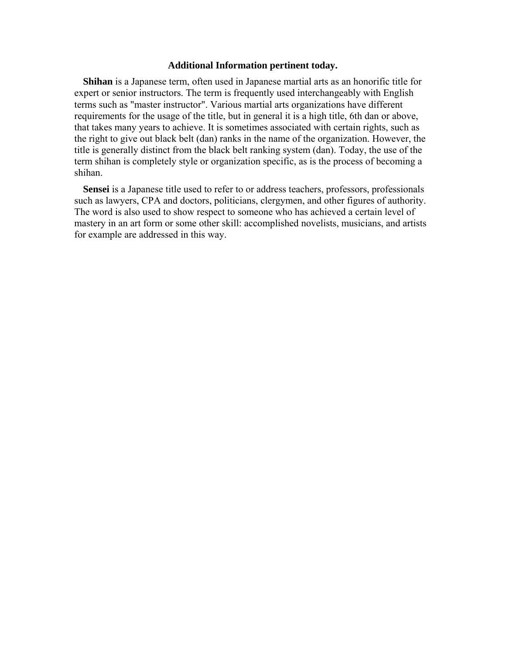#### **Additional Information pertinent today.**

**Shihan** is a Japanese term, often used in Japanese martial arts as an honorific title for expert or senior instructors. The term is frequently used interchangeably with English terms such as "master instructor". Various martial arts organizations have different requirements for the usage of the title, but in general it is a high title, 6th dan or above, that takes many years to achieve. It is sometimes associated with certain rights, such as the right to give out black belt (dan) ranks in the name of the organization. However, the title is generally distinct from the black belt ranking system (dan). Today, the use of the term shihan is completely style or organization specific, as is the process of becoming a shihan.

**Sensei** is a Japanese title used to refer to or address teachers, professors, professionals such as lawyers, CPA and doctors, politicians, clergymen, and other figures of authority. The word is also used to show respect to someone who has achieved a certain level of mastery in an art form or some other skill: accomplished novelists, musicians, and artists for example are addressed in this way.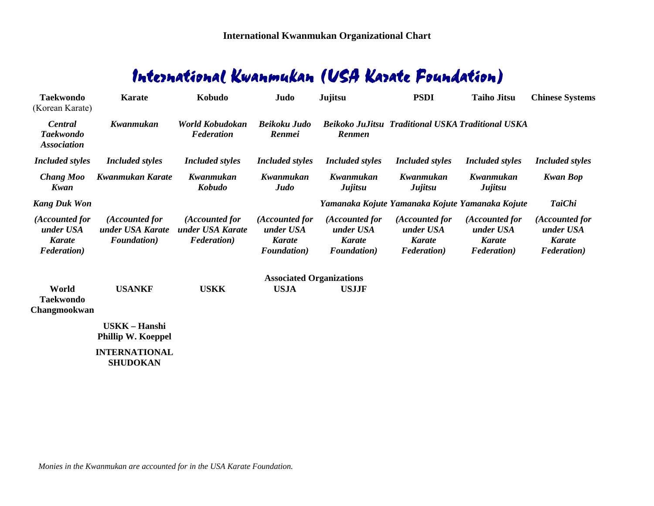# International Kwanmukan (USA Karate Foundation)

| <b>Taekwondo</b><br>(Korean Karate)                                 | <b>Karate</b>                                             | Kobudo                                                    | Judo                                                                | Jujitsu                                                             | <b>PSDI</b>                                                         | <b>Taiho Jitsu</b>                                                  | <b>Chinese Systems</b>                                              |
|---------------------------------------------------------------------|-----------------------------------------------------------|-----------------------------------------------------------|---------------------------------------------------------------------|---------------------------------------------------------------------|---------------------------------------------------------------------|---------------------------------------------------------------------|---------------------------------------------------------------------|
| Central<br><b>Taekwondo</b><br><b>Association</b>                   | Kwanmukan                                                 | World Kobudokan<br><b>Federation</b>                      | <b>Beikoku Judo</b><br><b>Renmei</b>                                | Renmen                                                              | <b>Beikoko JuJitsu Traditional USKA Traditional USKA</b>            |                                                                     |                                                                     |
| <b>Included styles</b>                                              | <b>Included styles</b>                                    | <b>Included styles</b>                                    | <b>Included styles</b>                                              | <i>Included styles</i>                                              | <b>Included styles</b>                                              | <b>Included styles</b>                                              | <b>Included styles</b>                                              |
| <b>Chang Moo</b><br>Kwan                                            | Kwanmukan Karate                                          | Kwanmukan<br>Kobudo                                       | Kwanmukan<br>Judo                                                   | Kwanmukan<br><b>Jujitsu</b>                                         | Kwanmukan<br>Jujitsu                                                | Kwanmukan<br>Jujitsu                                                | <b>Kwan Bop</b>                                                     |
| <b>Kang Duk Won</b>                                                 |                                                           |                                                           |                                                                     |                                                                     | Yamanaka Kojute Yamanaka Kojute Yamanaka Kojute                     |                                                                     | <b>TaiChi</b>                                                       |
| (Accounted for<br>under USA<br><b>Karate</b><br><b>Federation</b> ) | (Accounted for<br>under USA Karate<br><b>Foundation</b> ) | (Accounted for<br>under USA Karate<br><b>Federation</b> ) | (Accounted for<br>under USA<br><b>Karate</b><br><b>Foundation</b> ) | (Accounted for<br>under USA<br><b>Karate</b><br><b>Foundation</b> ) | (Accounted for<br>under USA<br><b>Karate</b><br><b>Federation</b> ) | (Accounted for<br>under USA<br><b>Karate</b><br><b>Federation</b> ) | (Accounted for<br>under USA<br><b>Karate</b><br><b>Federation</b> ) |
|                                                                     |                                                           |                                                           | <b>Associated Organizations</b>                                     |                                                                     |                                                                     |                                                                     |                                                                     |
| World<br><b>Taekwondo</b><br>Changmookwan                           | <b>USANKF</b>                                             | <b>USKK</b>                                               | <b>USJA</b>                                                         | <b>USJJF</b>                                                        |                                                                     |                                                                     |                                                                     |
|                                                                     | <b>USKK - Hanshi</b><br><b>Phillip W. Koeppel</b>         |                                                           |                                                                     |                                                                     |                                                                     |                                                                     |                                                                     |
|                                                                     | <b>INTERNATIONAL</b><br><b>SHUDOKAN</b>                   |                                                           |                                                                     |                                                                     |                                                                     |                                                                     |                                                                     |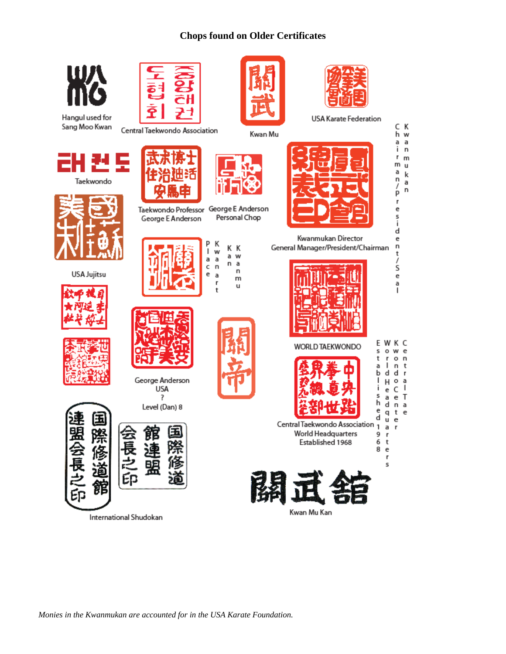# **Chops found on Older Certificates**



*Monies in the Kwanmukan are accounted for in the USA Karate Foundation.*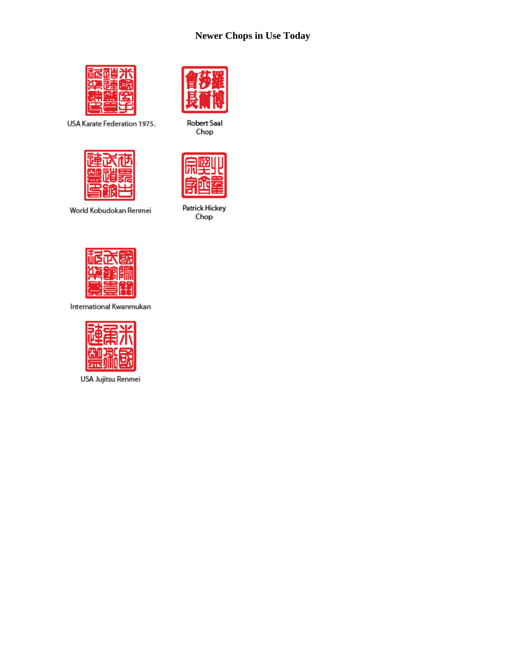# **Newer Chops in Use Today**



USA Karate Federation 1975.



World Kobudokan Renmei



Robert Saal Chop



Patrick Hickey<br>Chop



International Kwanmukan



USA Jujitsu Renmei